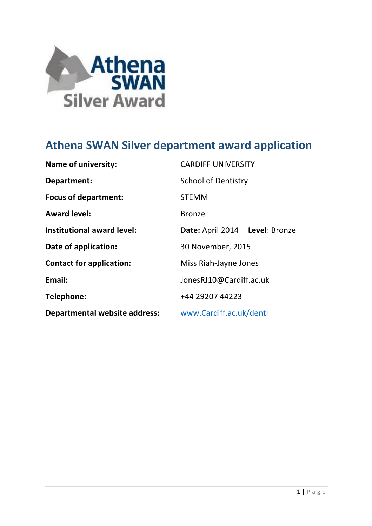

# **Athena SWAN Silver department award application**

| <b>Name of university:</b>           | <b>CARDIFF UNIVERSITY</b>      |  |  |  |  |  |
|--------------------------------------|--------------------------------|--|--|--|--|--|
| <b>Department:</b>                   | <b>School of Dentistry</b>     |  |  |  |  |  |
| <b>Focus of department:</b>          | <b>STEMM</b>                   |  |  |  |  |  |
| <b>Award level:</b>                  | <b>Bronze</b>                  |  |  |  |  |  |
| Institutional award level:           | Date: April 2014 Level: Bronze |  |  |  |  |  |
| Date of application:                 | 30 November, 2015              |  |  |  |  |  |
| <b>Contact for application:</b>      | Miss Riah-Jayne Jones          |  |  |  |  |  |
| Email:                               | JonesRJ10@Cardiff.ac.uk        |  |  |  |  |  |
| Telephone:                           | +44 29207 44223                |  |  |  |  |  |
| <b>Departmental website address:</b> | www.Cardiff.ac.uk/dentl        |  |  |  |  |  |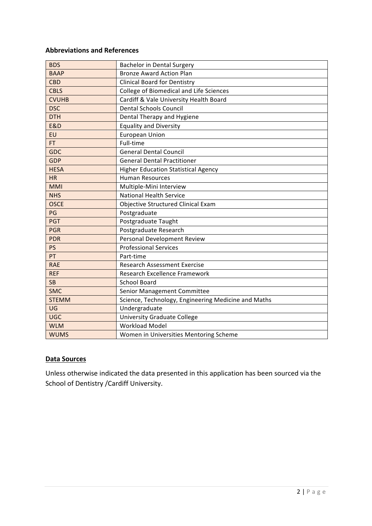## **Abbreviations and References**

| <b>BDS</b>     | <b>Bachelor in Dental Surgery</b>                   |
|----------------|-----------------------------------------------------|
| <b>BAAP</b>    | <b>Bronze Award Action Plan</b>                     |
| <b>CBD</b>     | <b>Clinical Board for Dentistry</b>                 |
| <b>CBLS</b>    | College of Biomedical and Life Sciences             |
| <b>CVUHB</b>   | Cardiff & Vale University Health Board              |
| <b>DSC</b>     | <b>Dental Schools Council</b>                       |
| <b>DTH</b>     | Dental Therapy and Hygiene                          |
| <b>E&amp;D</b> | <b>Equality and Diversity</b>                       |
| EU             | <b>European Union</b>                               |
| FT.            | Full-time                                           |
| <b>GDC</b>     | <b>General Dental Council</b>                       |
| <b>GDP</b>     | <b>General Dental Practitioner</b>                  |
| <b>HESA</b>    | <b>Higher Education Statistical Agency</b>          |
| <b>HR</b>      | <b>Human Resources</b>                              |
| <b>MMI</b>     | Multiple-Mini Interview                             |
| <b>NHS</b>     | <b>National Health Service</b>                      |
| <b>OSCE</b>    | Objective Structured Clinical Exam                  |
| PG             | Postgraduate                                        |
| <b>PGT</b>     | Postgraduate Taught                                 |
| <b>PGR</b>     | Postgraduate Research                               |
| <b>PDR</b>     | Personal Development Review                         |
| <b>PS</b>      | <b>Professional Services</b>                        |
| PT             | Part-time                                           |
| <b>RAE</b>     | <b>Research Assessment Exercise</b>                 |
| <b>REF</b>     | Research Excellence Framework                       |
| <b>SB</b>      | <b>School Board</b>                                 |
| <b>SMC</b>     | Senior Management Committee                         |
| <b>STEMM</b>   | Science, Technology, Engineering Medicine and Maths |
| UG             | Undergraduate                                       |
| <b>UGC</b>     | <b>University Graduate College</b>                  |
| <b>WLM</b>     | <b>Workload Model</b>                               |
| <b>WUMS</b>    | Women in Universities Mentoring Scheme              |

#### **Data Sources**

Unless otherwise indicated the data presented in this application has been sourced via the School of Dentistry / Cardiff University.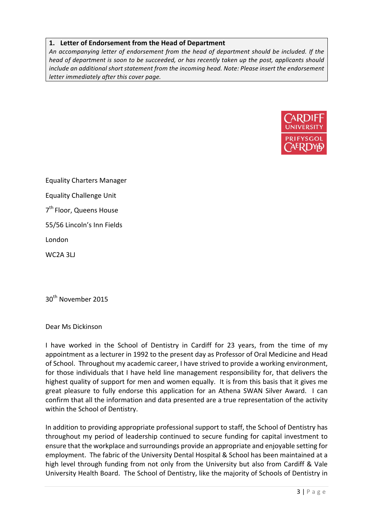## 1. Letter of Endorsement from the Head of Department

An accompanying letter of endorsement from the head of department should be included. If the *head* of department is soon to be succeeded, or has recently taken up the post, applicants should *include an additional short statement from the incoming head. Note: Please insert the endorsement letter immediately after this cover page.* 



Equality Charters Manager Equality Challenge Unit  $7<sup>th</sup>$  Floor, Queens House 55/56 Lincoln's Inn Fields London WC2A 3LJ 

30<sup>th</sup> November 2015

Dear Ms Dickinson

I have worked in the School of Dentistry in Cardiff for 23 years, from the time of my appointment as a lecturer in 1992 to the present day as Professor of Oral Medicine and Head of School. Throughout my academic career, I have strived to provide a working environment, for those individuals that I have held line management responsibility for, that delivers the highest quality of support for men and women equally. It is from this basis that it gives me great pleasure to fully endorse this application for an Athena SWAN Silver Award. I can confirm that all the information and data presented are a true representation of the activity within the School of Dentistry.

In addition to providing appropriate professional support to staff, the School of Dentistry has throughout my period of leadership continued to secure funding for capital investment to ensure that the workplace and surroundings provide an appropriate and enjoyable setting for employment. The fabric of the University Dental Hospital & School has been maintained at a high level through funding from not only from the University but also from Cardiff & Vale University Health Board. The School of Dentistry, like the majority of Schools of Dentistry in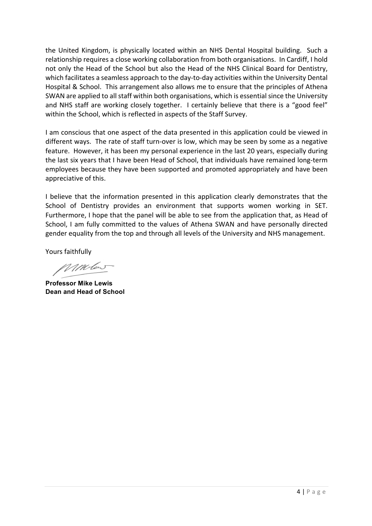the United Kingdom, is physically located within an NHS Dental Hospital building. Such a relationship requires a close working collaboration from both organisations. In Cardiff, I hold not only the Head of the School but also the Head of the NHS Clinical Board for Dentistry, which facilitates a seamless approach to the day-to-day activities within the University Dental Hospital & School. This arrangement also allows me to ensure that the principles of Athena SWAN are applied to all staff within both organisations, which is essential since the University and NHS staff are working closely together. I certainly believe that there is a "good feel" within the School, which is reflected in aspects of the Staff Survey.

I am conscious that one aspect of the data presented in this application could be viewed in different ways. The rate of staff turn-over is low, which may be seen by some as a negative feature. However, it has been my personal experience in the last 20 years, especially during the last six years that I have been Head of School, that individuals have remained long-term employees because they have been supported and promoted appropriately and have been appreciative of this.

I believe that the information presented in this application clearly demonstrates that the School of Dentistry provides an environment that supports women working in SET. Furthermore, I hope that the panel will be able to see from the application that, as Head of School, I am fully committed to the values of Athena SWAN and have personally directed gender equality from the top and through all levels of the University and NHS management.

Yours faithfully

MMber

**Professor Mike Lewis Dean and Head of School**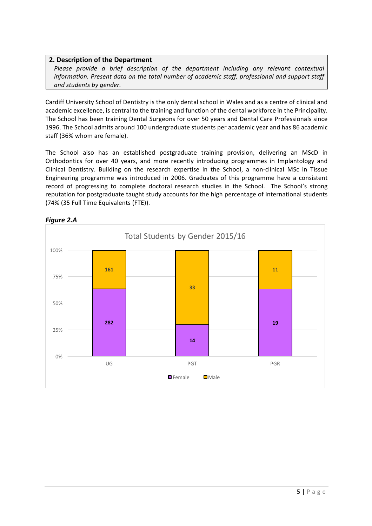## **2. Description of the Department**

*Please provide a brief description of the department including any relevant contextual information.* Present data on the total number of academic staff, professional and support staff *and students by gender.*

Cardiff University School of Dentistry is the only dental school in Wales and as a centre of clinical and academic excellence, is central to the training and function of the dental workforce in the Principality. The School has been training Dental Surgeons for over 50 years and Dental Care Professionals since 1996. The School admits around 100 undergraduate students per academic year and has 86 academic staff (36% whom are female).

The School also has an established postgraduate training provision, delivering an MScD in Orthodontics for over 40 years, and more recently introducing programmes in Implantology and Clinical Dentistry. Building on the research expertise in the School, a non-clinical MSc in Tissue Engineering programme was introduced in 2006. Graduates of this programme have a consistent record of progressing to complete doctoral research studies in the School. The School's strong reputation for postgraduate taught study accounts for the high percentage of international students (74% (35 Full Time Equivalents (FTE)).



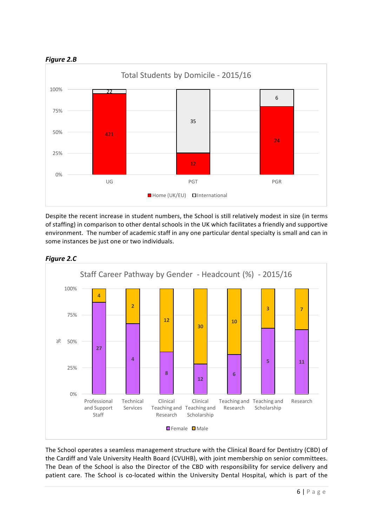



Despite the recent increase in student numbers, the School is still relatively modest in size (in terms of staffing) in comparison to other dental schools in the UK which facilitates a friendly and supportive environment. The number of academic staff in any one particular dental specialty is small and can in some instances be just one or two individuals.



## *Figure 2.C*

The School operates a seamless management structure with the Clinical Board for Dentistry (CBD) of the Cardiff and Vale University Health Board (CVUHB), with joint membership on senior committees. The Dean of the School is also the Director of the CBD with responsibility for service delivery and patient care. The School is co-located within the University Dental Hospital, which is part of the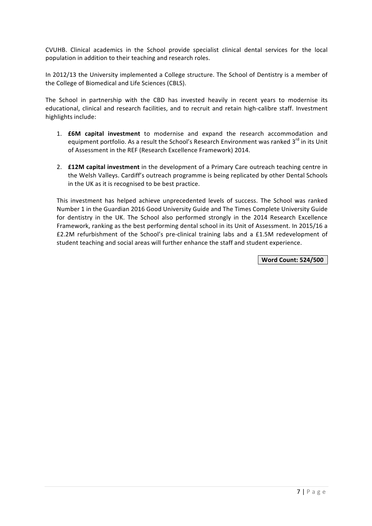CVUHB. Clinical academics in the School provide specialist clinical dental services for the local population in addition to their teaching and research roles.

In 2012/13 the University implemented a College structure. The School of Dentistry is a member of the College of Biomedical and Life Sciences (CBLS).

The School in partnership with the CBD has invested heavily in recent years to modernise its educational, clinical and research facilities, and to recruit and retain high-calibre staff. Investment highlights include:

- 1. **£6M capital investment** to modernise and expand the research accommodation and equipment portfolio. As a result the School's Research Environment was ranked 3<sup>rd</sup> in its Unit of Assessment in the REF (Research Excellence Framework) 2014.
- 2. **£12M capital investment** in the development of a Primary Care outreach teaching centre in the Welsh Valleys. Cardiff's outreach programme is being replicated by other Dental Schools in the UK as it is recognised to be best practice.

This investment has helped achieve unprecedented levels of success. The School was ranked Number 1 in the Guardian 2016 Good University Guide and The Times Complete University Guide for dentistry in the UK. The School also performed strongly in the 2014 Research Excellence Framework, ranking as the best performing dental school in its Unit of Assessment. In 2015/16 a £2.2M refurbishment of the School's pre-clinical training labs and a £1.5M redevelopment of student teaching and social areas will further enhance the staff and student experience.

**Word Count: 524/500**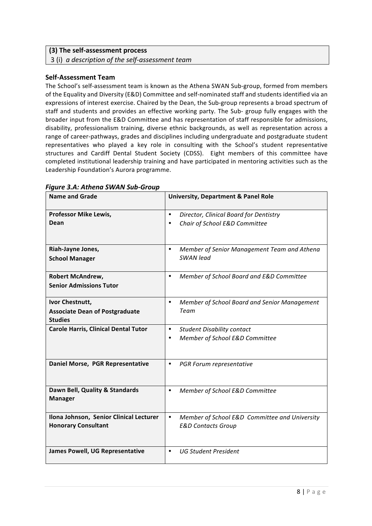#### **(3) The self-assessment process**

3 (i) *a description of the self-assessment team*

#### **Self-Assessment Team**

The School's self-assessment team is known as the Athena SWAN Sub-group, formed from members of the Equality and Diversity (E&D) Committee and self-nominated staff and students identified via an expressions of interest exercise. Chaired by the Dean, the Sub-group represents a broad spectrum of staff and students and provides an effective working party. The Sub- group fully engages with the broader input from the E&D Committee and has representation of staff responsible for admissions, disability, professionalism training, diverse ethnic backgrounds, as well as representation across a range of career-pathways, grades and disciplines including undergraduate and postgraduate student representatives who played a key role in consulting with the School's student representative structures and Cardiff Dental Student Society (CDSS). Eight members of this committee have completed institutional leadership training and have participated in mentoring activities such as the Leadership Foundation's Aurora programme.

| <b>Name and Grade</b>                                   | <b>University, Department &amp; Panel Role</b>             |
|---------------------------------------------------------|------------------------------------------------------------|
| <b>Professor Mike Lewis,</b>                            | $\bullet$<br>Director, Clinical Board for Dentistry        |
| Dean                                                    | Chair of School E&D Committee<br>$\bullet$                 |
| Riah-Jayne Jones,                                       | Member of Senior Management Team and Athena<br>$\bullet$   |
| <b>School Manager</b>                                   | <b>SWAN</b> lead                                           |
| <b>Robert McAndrew,</b>                                 | Member of School Board and E&D Committee<br>$\bullet$      |
| <b>Senior Admissions Tutor</b>                          |                                                            |
| Ivor Chestnutt,                                         | $\bullet$<br>Member of School Board and Senior Management  |
| <b>Associate Dean of Postgraduate</b><br><b>Studies</b> | Team                                                       |
| <b>Carole Harris, Clinical Dental Tutor</b>             | $\bullet$<br><b>Student Disability contact</b>             |
|                                                         | Member of School E&D Committee<br>$\bullet$                |
| Daniel Morse, PGR Representative                        | $\bullet$<br>PGR Forum representative                      |
| Dawn Bell, Quality & Standards<br><b>Manager</b>        | Member of School E&D Committee<br>$\bullet$                |
| Ilona Johnson, Senior Clinical Lecturer                 | Member of School E&D Committee and University<br>$\bullet$ |
| <b>Honorary Consultant</b>                              | <b>E&amp;D Contacts Group</b>                              |
| <b>James Powell, UG Representative</b>                  | <b>UG Student President</b><br>$\bullet$                   |

#### *Figure 3.A: Athena SWAN Sub-Group*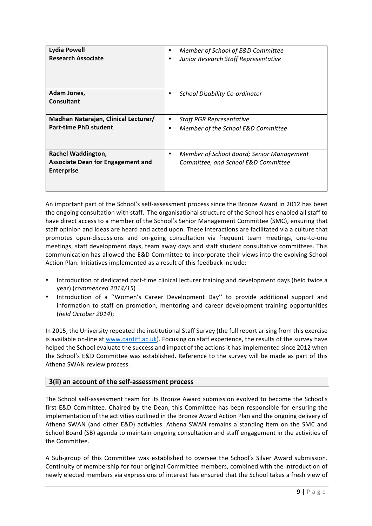| <b>Lydia Powell</b><br><b>Research Associate</b>                     | Member of School of E&D Committee<br>Junior Research Staff Representative<br>٠  |
|----------------------------------------------------------------------|---------------------------------------------------------------------------------|
| Adam Jones,                                                          | School Disability Co-ordinator                                                  |
| Consultant                                                           | ٠                                                                               |
| Madhan Natarajan, Clinical Lecturer/<br><b>Part-time PhD student</b> | <b>Staff PGR Representative</b><br>٠<br>Member of the School E&D Committee<br>٠ |
| Rachel Waddington,                                                   | Member of School Board; Senior Management                                       |
| <b>Associate Dean for Engagement and</b>                             | ٠                                                                               |
| <b>Enterprise</b>                                                    | Committee, and School E&D Committee                                             |

An important part of the School's self-assessment process since the Bronze Award in 2012 has been the ongoing consultation with staff. The organisational structure of the School has enabled all staff to have direct access to a member of the School's Senior Management Committee (SMC), ensuring that staff opinion and ideas are heard and acted upon. These interactions are facilitated via a culture that promotes open-discussions and on-going consultation via frequent team meetings, one-to-one meetings, staff development days, team away days and staff student consultative committees. This communication has allowed the E&D Committee to incorporate their views into the evolving School Action Plan. Initiatives implemented as a result of this feedback include:

- Introduction of dedicated part-time clinical lecturer training and development days (held twice a year) (*commenced 2014/15*)
- Introduction of a "Women's Career Development Day" to provide additional support and information to staff on promotion, mentoring and career development training opportunities (*held October 2014*);

In 2015, the University repeated the institutional Staff Survey (the full report arising from this exercise is available on-line at www.cardiff.ac.uk). Focusing on staff experience, the results of the survey have helped the School evaluate the success and impact of the actions it has implemented since 2012 when the School's E&D Committee was established. Reference to the survey will be made as part of this Athena SWAN review process.

## **3(ii) an account of the self-assessment process**

The School self-assessment team for its Bronze Award submission evolved to become the School's first E&D Committee. Chaired by the Dean, this Committee has been responsible for ensuring the implementation of the activities outlined in the Bronze Award Action Plan and the ongoing delivery of Athena SWAN (and other E&D) activities. Athena SWAN remains a standing item on the SMC and School Board (SB) agenda to maintain ongoing consultation and staff engagement in the activities of the Committee.

A Sub-group of this Committee was established to oversee the School's Silver Award submission. Continuity of membership for four original Committee members, combined with the introduction of newly elected members via expressions of interest has ensured that the School takes a fresh view of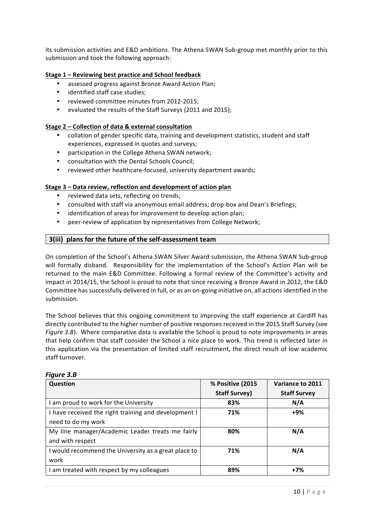its submission activities and E&D ambitions. The Athena SWAN Sub-group met monthly prior to this submission and took the following approach:

#### **Stage 1 – Reviewing best practice and School feedback**

- assessed progress against Bronze Award Action Plan;
- identified staff case studies;
- reviewed committee minutes from 2012-2015;
- evaluated the results of the Staff Surveys (2011 and 2015);

#### **Stage 2 – Collection of data & external consultation**

- collation of gender specific data, training and development statistics, student and staff experiences, expressed in quotes and surveys;
- participation in the College Athena SWAN network;
- consultation with the Dental Schools Council:
- reviewed other healthcare-focused, university department awards;

#### **Stage 3 - Data review, reflection and development of action plan**

- reviewed data sets, reflecting on trends;
- consulted with staff via anonymous email address; drop-box and Dean's Briefings;
- identification of areas for improvement to develop action plan;
- peer-review of application by representatives from College Network;

#### **3(iii) plans for the future of the self-assessment team**

On completion of the School's Athena SWAN Silver Award submission, the Athena SWAN Sub-group will formally disband. Responsibility for the implementation of the School's Action Plan will be returned to the main E&D Committee. Following a formal review of the Committee's activity and impact in 2014/15, the School is proud to note that since receiving a Bronze Award in 2012, the E&D Committee has successfully delivered in full, or as an on-going initiative on, all actions identified in the submission.

The School believes that this ongoing commitment to improving the staff experience at Cardiff has directly contributed to the higher number of positive responses received in the 2015 Staff Survey (see *Figure* 3.B). Where comparative data is available the School is proud to note improvements in areas that help confirm that staff consider the School a nice place to work. This trend is reflected later in this application via the presentation of limited staff recruitment, the direct result of low academic staff turnover.

| Question                                             | % Positive (2015     | Variance to 2011    |
|------------------------------------------------------|----------------------|---------------------|
|                                                      | <b>Staff Survey)</b> | <b>Staff Survey</b> |
| I am proud to work for the University                | 83%                  | N/A                 |
| I have received the right training and development I | 71%                  | +9%                 |
| need to do my work                                   |                      |                     |
| My line manager/Academic Leader treats me fairly     | 80%                  | N/A                 |
| and with respect                                     |                      |                     |
| I would recommend the University as a great place to | 71%                  | N/A                 |
| work                                                 |                      |                     |
| I am treated with respect by my colleagues           | 89%                  | $+7%$               |

#### *Figure 3.B*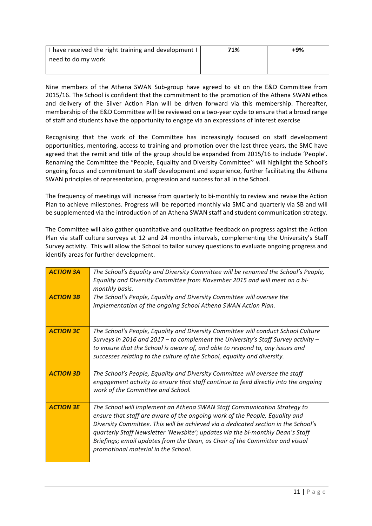| I have received the right training and development I | 71% | +9% |
|------------------------------------------------------|-----|-----|
| need to do my work                                   |     |     |
|                                                      |     |     |

Nine members of the Athena SWAN Sub-group have agreed to sit on the E&D Committee from 2015/16. The School is confident that the commitment to the promotion of the Athena SWAN ethos and delivery of the Silver Action Plan will be driven forward via this membership. Thereafter, membership of the E&D Committee will be reviewed on a two-year cycle to ensure that a broad range of staff and students have the opportunity to engage via an expressions of interest exercise

Recognising that the work of the Committee has increasingly focused on staff development opportunities, mentoring, access to training and promotion over the last three years, the SMC have agreed that the remit and title of the group should be expanded from 2015/16 to include 'People'. Renaming the Committee the "People, Equality and Diversity Committee" will highlight the School's ongoing focus and commitment to staff development and experience, further facilitating the Athena SWAN principles of representation, progression and success for all in the School.

The frequency of meetings will increase from quarterly to bi-monthly to review and revise the Action Plan to achieve milestones. Progress will be reported monthly via SMC and quarterly via SB and will be supplemented via the introduction of an Athena SWAN staff and student communication strategy.

The Committee will also gather quantitative and qualitative feedback on progress against the Action Plan via staff culture surveys at 12 and 24 months intervals, complementing the University's Staff Survey activity. This will allow the School to tailor survey questions to evaluate ongoing progress and identify areas for further development.

| <b>ACTION 3A</b> | The School's Equality and Diversity Committee will be renamed the School's People,<br>Equality and Diversity Committee from November 2015 and will meet on a bi-<br>monthly basis.                                                                                                                                                                                                                                                                     |
|------------------|--------------------------------------------------------------------------------------------------------------------------------------------------------------------------------------------------------------------------------------------------------------------------------------------------------------------------------------------------------------------------------------------------------------------------------------------------------|
| <b>ACTION 3B</b> | The School's People, Equality and Diversity Committee will oversee the<br>implementation of the ongoing School Athena SWAN Action Plan.                                                                                                                                                                                                                                                                                                                |
| <b>ACTION 3C</b> | The School's People, Equality and Diversity Committee will conduct School Culture<br>Surveys in 2016 and 2017 – to complement the University's Staff Survey activity –<br>to ensure that the School is aware of, and able to respond to, any issues and<br>successes relating to the culture of the School, equality and diversity.                                                                                                                    |
| <b>ACTION 3D</b> | The School's People, Equality and Diversity Committee will oversee the staff<br>engagement activity to ensure that staff continue to feed directly into the ongoing<br>work of the Committee and School.                                                                                                                                                                                                                                               |
| <b>ACTION 3E</b> | The School will implement an Athena SWAN Staff Communication Strategy to<br>ensure that staff are aware of the ongoing work of the People, Equality and<br>Diversity Committee. This will be achieved via a dedicated section in the School's<br>quarterly Staff Newsletter 'Newsbite'; updates via the bi-monthly Dean's Staff<br>Briefings; email updates from the Dean, as Chair of the Committee and visual<br>promotional material in the School. |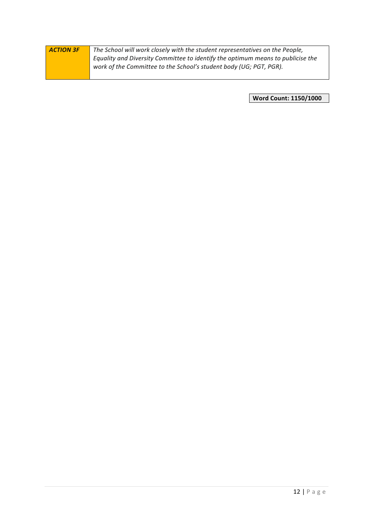| <b>ACTION 3F</b> | The School will work closely with the student representatives on the People,    |
|------------------|---------------------------------------------------------------------------------|
|                  | Equality and Diversity Committee to identify the optimum means to publicise the |
|                  | work of the Committee to the School's student body (UG; PGT, PGR).              |
|                  |                                                                                 |

**Word Count: 1150/1000**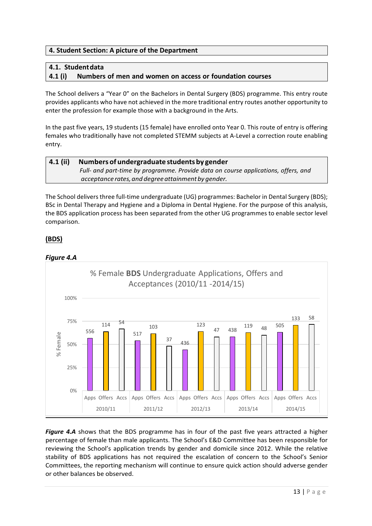## **4. Student Section: A picture of the Department**

## **4.1. Studentdata**

## **4.1 (i) Numbers of men and women on access or foundation courses**

The School delivers a "Year O" on the Bachelors in Dental Surgery (BDS) programme. This entry route provides applicants who have not achieved in the more traditional entry routes another opportunity to enter the profession for example those with a background in the Arts.

In the past five years, 19 students (15 female) have enrolled onto Year 0. This route of entry is offering females who traditionally have not completed STEMM subjects at A-Level a correction route enabling entry.

## **4.1 (ii) Numbers of undergraduate students by gender**  *Full- and part-time by programme. Provide data on course applications, offers, and acceptance rates,and degreeattainmentby gender.*

The School delivers three full-time undergraduate (UG) programmes: Bachelor in Dental Surgery (BDS); BSc in Dental Therapy and Hygiene and a Diploma in Dental Hygiene. For the purpose of this analysis, the BDS application process has been separated from the other UG programmes to enable sector level comparison.

## **(BDS)**





**Figure 4.A** shows that the BDS programme has in four of the past five years attracted a higher percentage of female than male applicants. The School's E&D Committee has been responsible for reviewing the School's application trends by gender and domicile since 2012. While the relative stability of BDS applications has not required the escalation of concern to the School's Senior Committees, the reporting mechanism will continue to ensure quick action should adverse gender or other balances be observed.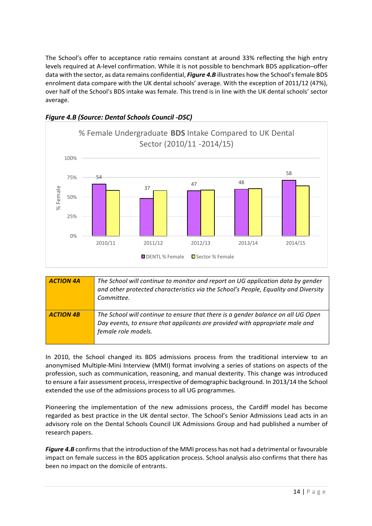The School's offer to acceptance ratio remains constant at around 33% reflecting the high entry levels required at A-level confirmation. While it is not possible to benchmark BDS application–offer data with the sector, as data remains confidential, *Figure 4.B* illustrates how the School's female BDS enrolment data compare with the UK dental schools' average. With the exception of 2011/12 (47%), over half of the School's BDS intake was female. This trend is in line with the UK dental schools' sector average. 





| <b>ACTION 4A</b> | The School will continue to monitor and report on UG application data by gender<br>and other protected characteristics via the School's People, Equality and Diversity<br>Committee.    |
|------------------|-----------------------------------------------------------------------------------------------------------------------------------------------------------------------------------------|
| <b>ACTION 4B</b> | The School will continue to ensure that there is a gender balance on all UG Open<br>Day events, to ensure that applicants are provided with appropriate male and<br>female role models. |

In 2010, the School changed its BDS admissions process from the traditional interview to an anonymised Multiple-Mini Interview (MMI) format involving a series of stations on aspects of the profession, such as communication, reasoning, and manual dexterity. This change was introduced to ensure a fair assessment process, irrespective of demographic background. In 2013/14 the School extended the use of the admissions process to all UG programmes.

Pioneering the implementation of the new admissions process, the Cardiff model has become regarded as best practice in the UK dental sector. The School's Senior Admissions Lead acts in an advisory role on the Dental Schools Council UK Admissions Group and had published a number of research papers.

*Figure 4.B* confirms that the introduction of the MMI process has not had a detrimental or favourable impact on female success in the BDS application process. School analysis also confirms that there has been no impact on the domicile of entrants.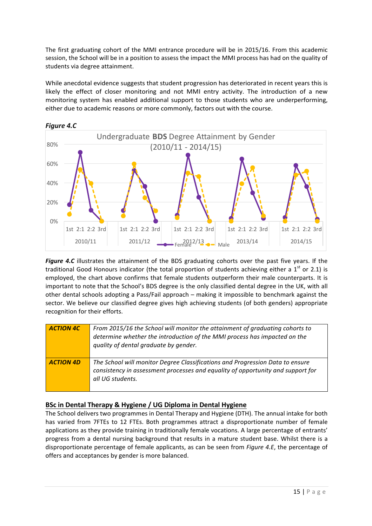The first graduating cohort of the MMI entrance procedure will be in 2015/16. From this academic session, the School will be in a position to assess the impact the MMI process has had on the quality of students via degree attainment.

While anecdotal evidence suggests that student progression has deteriorated in recent years this is likely the effect of closer monitoring and not MMI entry activity. The introduction of a new monitoring system has enabled additional support to those students who are underperforming, either due to academic reasons or more commonly, factors out with the course.





*Figure* 4.C illustrates the attainment of the BDS graduating cohorts over the past five years. If the traditional Good Honours indicator (the total proportion of students achieving either a  $1<sup>st</sup>$  or 2.1) is employed, the chart above confirms that female students outperform their male counterparts. It is important to note that the School's BDS degree is the only classified dental degree in the UK, with all other dental schools adopting a Pass/Fail approach – making it impossible to benchmark against the sector. We believe our classified degree gives high achieving students (of both genders) appropriate recognition for their efforts.

| <b>ACTION 4C</b> | From 2015/16 the School will monitor the attainment of graduating cohorts to<br>determine whether the introduction of the MMI process has impacted on the<br>quality of dental graduate by gender. |
|------------------|----------------------------------------------------------------------------------------------------------------------------------------------------------------------------------------------------|
| <b>ACTION 4D</b> | The School will monitor Degree Classifications and Progression Data to ensure<br>consistency in assessment processes and equality of opportunity and support for<br>all UG students.               |

## **BSc in Dental Therapy & Hygiene / UG Diploma in Dental Hygiene**

The School delivers two programmes in Dental Therapy and Hygiene (DTH). The annual intake for both has varied from 7FTEs to 12 FTEs. Both programmes attract a disproportionate number of female applications as they provide training in traditionally female vocations. A large percentage of entrants' progress from a dental nursing background that results in a mature student base. Whilst there is a disproportionate percentage of female applicants, as can be seen from *Figure 4.E*, the percentage of offers and acceptances by gender is more balanced.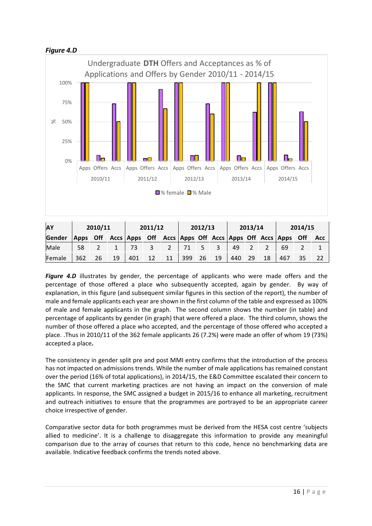

| AY            | 2010/11                                                          |    | 2011/12 |     | 2012/13 |    |                 | 2013/14     |    |      | 2014/15 |    |     |  |            |
|---------------|------------------------------------------------------------------|----|---------|-----|---------|----|-----------------|-------------|----|------|---------|----|-----|--|------------|
| <b>Gender</b> | Apps Off Accs Apps Off Accs Apps Off Accs Apps Off Accs Apps Off |    |         |     |         |    |                 |             |    |      |         |    |     |  | <b>Acc</b> |
| Male          | 58                                                               |    |         | 73  |         |    | 71 <sub>1</sub> | $5^{\circ}$ |    | - 49 |         |    | 69  |  |            |
| Female        | 362                                                              | 26 | 19      | 401 | 12      | 11 | 399             | 26          | 19 | 440  | 29      | 18 | 467 |  |            |

**Figure 4.D** illustrates by gender, the percentage of applicants who were made offers and the percentage of those offered a place who subsequently accepted, again by gender. By way of explanation, in this figure (and subsequent similar figures in this section of the report), the number of male and female applicants each year are shown in the first column of the table and expressed as 100% of male and female applicants in the graph. The second column shows the number (in table) and percentage of applicants by gender (in graph) that were offered a place. The third column, shows the number of those offered a place who accepted, and the percentage of those offered who accepted a place. .Thus in 2010/11 of the 362 female applicants 26 (7.2%) were made an offer of whom 19 (73%) accepted a place.

The consistency in gender split pre and post MMI entry confirms that the introduction of the process has not impacted on admissions trends. While the number of male applications has remained constant over the period (16% of total applications), in 2014/15, the E&D Committee escalated their concern to the SMC that current marketing practices are not having an impact on the conversion of male applicants. In response, the SMC assigned a budget in 2015/16 to enhance all marketing, recruitment and outreach initiatives to ensure that the programmes are portrayed to be an appropriate career choice irrespective of gender.

Comparative sector data for both programmes must be derived from the HESA cost centre 'subjects allied to medicine'. It is a challenge to disaggregate this information to provide any meaningful comparison due to the array of courses that return to this code, hence no benchmarking data are available. Indicative feedback confirms the trends noted above.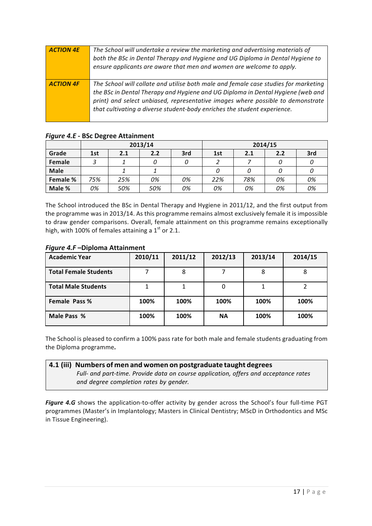| <b>ACTION 4E</b> | The School will undertake a review the marketing and advertising materials of<br>both the BSc in Dental Therapy and Hygiene and UG Diploma in Dental Hygiene to<br>ensure applicants are aware that men and women are welcome to apply.                                                                                               |
|------------------|---------------------------------------------------------------------------------------------------------------------------------------------------------------------------------------------------------------------------------------------------------------------------------------------------------------------------------------|
| <b>ACTION 4F</b> | The School will collate and utilise both male and female case studies for marketing<br>the BSc in Dental Therapy and Hygiene and UG Diploma in Dental Hygiene (web and<br>print) and select unbiased, representative images where possible to demonstrate<br>that cultivating a diverse student-body enriches the student experience. |

| -           | $\sim$ |     |         |     |         |     |     |     |  |  |
|-------------|--------|-----|---------|-----|---------|-----|-----|-----|--|--|
|             |        |     | 2013/14 |     | 2014/15 |     |     |     |  |  |
| Grade       | 1st    | 2.1 | 2.2     | 3rd | 1st     | 2.1 | 2.2 | 3rd |  |  |
| Female      |        |     | 0       |     |         |     |     |     |  |  |
| <b>Male</b> |        |     |         |     |         | 0   |     |     |  |  |
| Female %    | 75%    | 25% | 0%      | 0%  | 22%     | 78% | 0%  | 0%  |  |  |
| Male %      | 0%     | 50% | 50%     | 0%  | 0%      | 0%  | 0%  | 0%  |  |  |

## *Figure 4.E* **- BSc Degree Attainment**

The School introduced the BSc in Dental Therapy and Hygiene in 2011/12, and the first output from the programme was in 2013/14. As this programme remains almost exclusively female it is impossible to draw gender comparisons. Overall, female attainment on this programme remains exceptionally high, with 100% of females attaining a  $1<sup>st</sup>$  or 2.1.

## *Figure 4.F* **–Diploma Attainment**

| <b>Academic Year</b>         | 2010/11 | 2011/12 | 2012/13   | 2013/14 | 2014/15 |
|------------------------------|---------|---------|-----------|---------|---------|
| <b>Total Female Students</b> |         | 8       |           |         |         |
| <b>Total Male Students</b>   |         |         |           |         |         |
| Female Pass %                | 100%    | 100%    | 100%      | 100%    | 100%    |
| Male Pass %                  | 100%    | 100%    | <b>NA</b> | 100%    | 100%    |

The School is pleased to confirm a 100% pass rate for both male and female students graduating from the Diploma programme*.*

## **4.1 (iii) Numbers of men and women on postgraduate taught degrees**

*Full- and part-time. Provide data on course application, offers and acceptance rates and degree completion rates by gender.*

*Figure* 4.G shows the application-to-offer activity by gender across the School's four full-time PGT programmes (Master's in Implantology; Masters in Clinical Dentistry; MScD in Orthodontics and MSc in Tissue Engineering).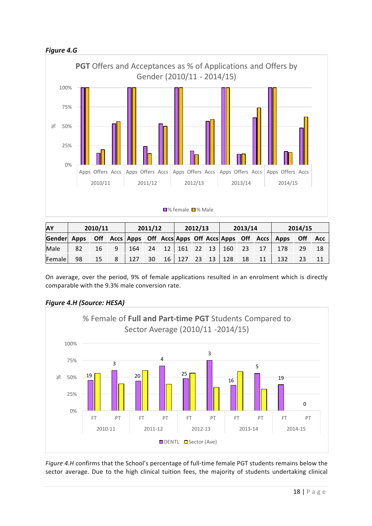



| <b>AY</b>                                                               |    | 2010/11 |   | 2011/12 |    |  | 2012/13 |  |  | 2013/14                  |    |    | 2014/15 |    |     |
|-------------------------------------------------------------------------|----|---------|---|---------|----|--|---------|--|--|--------------------------|----|----|---------|----|-----|
| Gender Apps Off Accs Apps Off Accs Apps Off Accs Apps Off Accs Apps Off |    |         |   |         |    |  |         |  |  |                          |    |    |         |    | Acc |
| Male                                                                    | 82 | 16      | 9 | 164     |    |  |         |  |  | $24$ 12 161 22 13 160 23 |    | 17 | 178     | 29 | 18  |
| Female                                                                  | 98 | 15      | 8 | 127     | 30 |  |         |  |  | 16   127   23   13   128 | 18 | 11 | 132     | 23 |     |

On average, over the period, 9% of female applications resulted in an enrolment which is directly comparable with the 9.3% male conversion rate.



## *Figure 4.H (Source: HESA)*

*Figure 4.H* confirms that the School's percentage of full-time female PGT students remains below the sector average. Due to the high clinical tuition fees, the majority of students undertaking clinical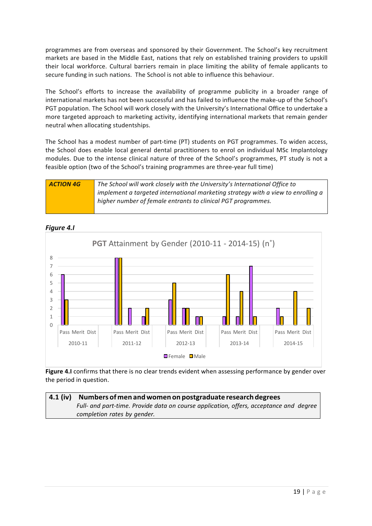programmes are from overseas and sponsored by their Government. The School's key recruitment markets are based in the Middle East, nations that rely on established training providers to upskill their local workforce. Cultural barriers remain in place limiting the ability of female applicants to secure funding in such nations. The School is not able to influence this behaviour.

The School's efforts to increase the availability of programme publicity in a broader range of international markets has not been successful and has failed to influence the make-up of the School's PGT population. The School will work closely with the University's International Office to undertake a more targeted approach to marketing activity, identifying international markets that remain gender neutral when allocating studentships.

The School has a modest number of part-time (PT) students on PGT programmes. To widen access, the School does enable local general dental practitioners to enrol on individual MSc Implantology modules. Due to the intense clinical nature of three of the School's programmes, PT study is not a feasible option (two of the School's training programmes are three-year full time)





*Figure 4.I*

**Figure 4.I** confirms that there is no clear trends evident when assessing performance by gender over the period in question.

## **4.1 (iv) Numbers of men andwomen on postgraduate research degrees** *Full- and part-time. Provide data on course application, offers, acceptance and degree completion rates by gender.*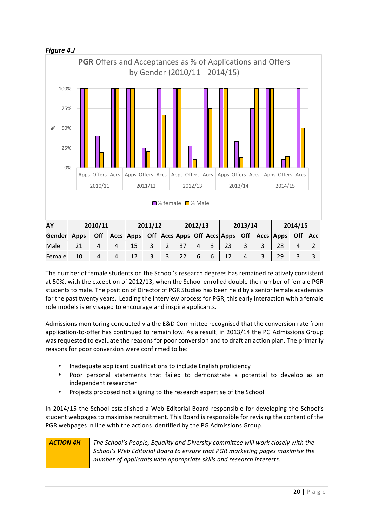



The number of female students on the School's research degrees has remained relatively consistent at 50%, with the exception of 2012/13, when the School enrolled double the number of female PGR students to male. The position of Director of PGR Studies has been held by a senior female academics for the past twenty years. Leading the interview process for PGR, this early interaction with a female role models is envisaged to encourage and inspire applicants.

Admissions monitoring conducted via the E&D Committee recognised that the conversion rate from application-to-offer has continued to remain low. As a result, in 2013/14 the PG Admissions Group was requested to evaluate the reasons for poor conversion and to draft an action plan. The primarily reasons for poor conversion were confirmed to be:

- Inadequate applicant qualifications to include English proficiency
- Poor personal statements that failed to demonstrate a potential to develop as an independent researcher
- Projects proposed not aligning to the research expertise of the School

In 2014/15 the School established a Web Editorial Board responsible for developing the School's student webpages to maximise recruitment. This Board is responsible for revising the content of the PGR webpages in line with the actions identified by the PG Admissions Group.

| <b>ACTION 4H</b> | The School's People, Equality and Diversity committee will work closely with the |
|------------------|----------------------------------------------------------------------------------|
|                  | School's Web Editorial Board to ensure that PGR marketing pages maximise the     |
|                  | number of applicants with appropriate skills and research interests.             |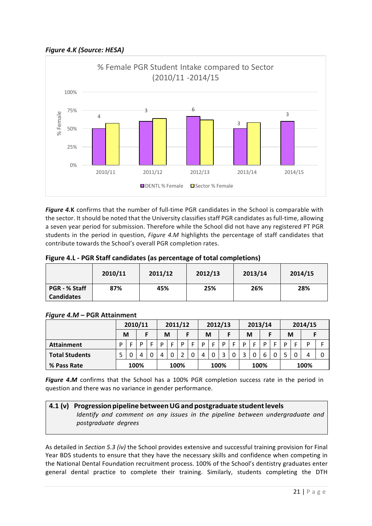*Figure 4.K (Source: HESA)*



**Figure 4.K** confirms that the number of full-time PGR candidates in the School is comparable with the sector. It should be noted that the University classifies staff PGR candidates as full-time, allowing a seven year period for submission. Therefore while the School did not have any registered PT PGR students in the period in question, *Figure 4.M* highlights the percentage of staff candidates that contribute towards the School's overall PGR completion rates.

| Figure 4.L - PGR Staff candidates (as percentage of total completions) |         |         |         |         |  |
|------------------------------------------------------------------------|---------|---------|---------|---------|--|
|                                                                        | 2010/11 | 2011/12 | 2012/12 | 2012/14 |  |

|                                           | 2010/11 | 2011/12 | 2012/13 | 2013/14 | 2014/15 |
|-------------------------------------------|---------|---------|---------|---------|---------|
| <b>PGR - % Staff</b><br><b>Candidates</b> | 87%     | 45%     | 25%     | 26%     | 28%     |

|                       | 2010/11 |   |      | 2011/12 |   | 2012/13 |      |  | 2013/14 |  |      | 2014/15 |   |   |      |  |   |   |      |  |
|-----------------------|---------|---|------|---------|---|---------|------|--|---------|--|------|---------|---|---|------|--|---|---|------|--|
|                       |         | M |      |         |   | М       |      |  | М       |  |      |         | М |   |      |  | M |   |      |  |
| <b>Attainment</b>     | D       |   | D    | Е       | D | E       | D    |  | D       |  | D    | E.      | D | Е | D    |  | D |   | D    |  |
| <b>Total Students</b> |         |   | 4    | 0       | 4 | 0       |      |  | 4       |  |      |         |   |   | 6    |  |   | 0 |      |  |
| % Pass Rate           |         |   | 100% |         |   |         | 100% |  |         |  | 100% |         |   |   | 100% |  |   |   | 100% |  |

## *Figure 4.M* **– PGR Attainment**

**Figure 4.M** confirms that the School has a 100% PGR completion success rate in the period in question and there was no variance in gender performance.

## **4.1 (v) Progressionpipeline betweenUGand postgraduate studentlevels** *Identify and comment on any issues in the pipeline between undergraduate and postgraduate degrees*

As detailed in *Section 5.3 (iv)* the School provides extensive and successful training provision for Final Year BDS students to ensure that they have the necessary skills and confidence when competing in the National Dental Foundation recruitment process. 100% of the School's dentistry graduates enter general dental practice to complete their training. Similarly, students completing the DTH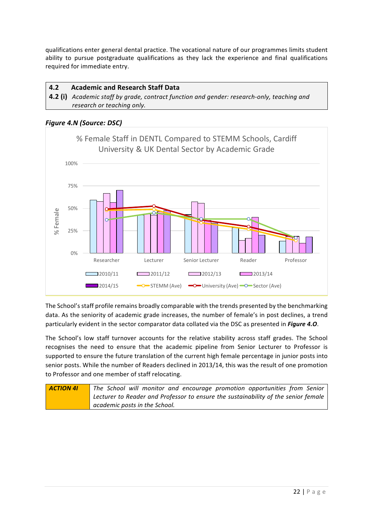qualifications enter general dental practice. The vocational nature of our programmes limits student ability to pursue postgraduate qualifications as they lack the experience and final qualifications required for immediate entry.

**4.2 Academic and Research Staff Data**

**4.2 (i)** Academic staff by grade, contract function and gender: research-only, teaching and *research or teaching only.* 

*Figure 4.N (Source: DSC)*



The School's staff profile remains broadly comparable with the trends presented by the benchmarking data. As the seniority of academic grade increases, the number of female's in post declines, a trend particularly evident in the sector comparator data collated via the DSC as presented in *Figure 4.0*.

The School's low staff turnover accounts for the relative stability across staff grades. The School recognises the need to ensure that the academic pipeline from Senior Lecturer to Professor is supported to ensure the future translation of the current high female percentage in junior posts into senior posts. While the number of Readers declined in 2013/14, this was the result of one promotion to Professor and one member of staff relocating.

| <b>ACTION 41</b> | The School will monitor and encourage promotion opportunities from Senior          |
|------------------|------------------------------------------------------------------------------------|
|                  | Lecturer to Reader and Professor to ensure the sustainability of the senior female |
|                  | academic posts in the School.                                                      |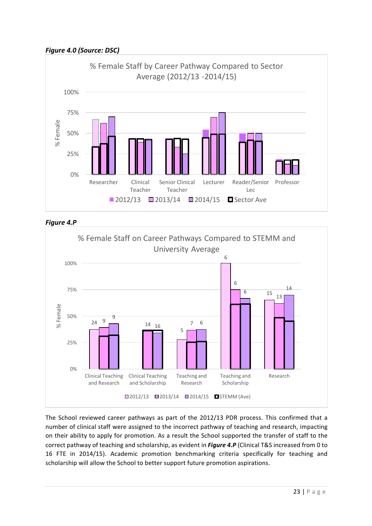*Figure 4.0 (Source: DSC)*







The School reviewed career pathways as part of the 2012/13 PDR process. This confirmed that a number of clinical staff were assigned to the incorrect pathway of teaching and research, impacting on their ability to apply for promotion. As a result the School supported the transfer of staff to the correct pathway of teaching and scholarship, as evident in *Figure 4.P* (Clinical T&S increased from 0 to 16 FTE in 2014/15). Academic promotion benchmarking criteria specifically for teaching and scholarship will allow the School to better support future promotion aspirations.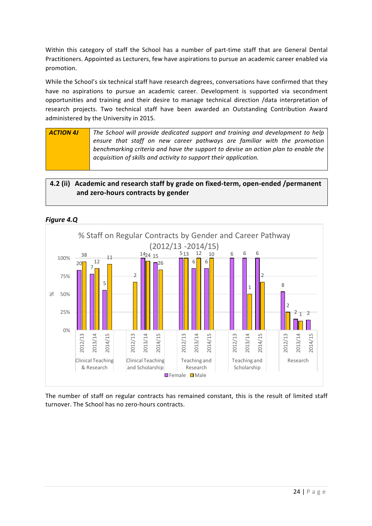Within this category of staff the School has a number of part-time staff that are General Dental Practitioners. Appointed as Lecturers, few have aspirations to pursue an academic career enabled via promotion.

While the School's six technical staff have research degrees, conversations have confirmed that they have no aspirations to pursue an academic career. Development is supported via secondment opportunities and training and their desire to manage technical direction /data interpretation of research projects. Two technical staff have been awarded an Outstanding Contribution Award administered by the University in 2015.

**ACTION 4J** The School will provide dedicated support and training and development to help ensure that staff on new career pathways are familiar with the promotion *benchmarking criterig and have the support to devise an action plan to enable the acquisition of skills and activity to support their application.*

## 4.2 (ii) Academic and research staff by grade on fixed-term, open-ended /permanent **and zero-hours contracts by gender**



*Figure 4.Q*

The number of staff on regular contracts has remained constant, this is the result of limited staff turnover. The School has no zero-hours contracts.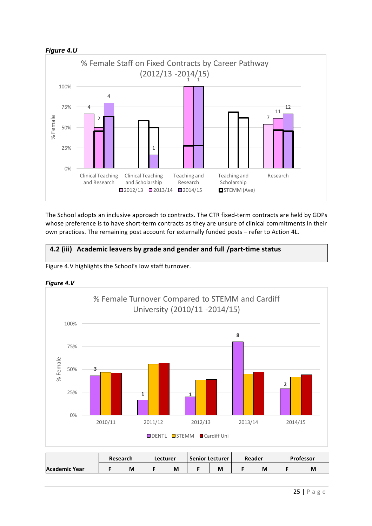



The School adopts an inclusive approach to contracts. The CTR fixed-term contracts are held by GDPs whose preference is to have short-term contracts as they are unsure of clinical commitments in their own practices. The remaining post account for externally funded posts - refer to Action 4L.

# **4.2 (iii)** **Academic leavers by grade and gender and full /part-time status**







|               | <b>Research</b> | Lecturer |  | <b>Senior Lecturer</b> | Reader |   | <b>Professor</b> |          |  |
|---------------|-----------------|----------|--|------------------------|--------|---|------------------|----------|--|
| Academic Year | M               | M        |  | М                      |        | M |                  | <b>M</b> |  |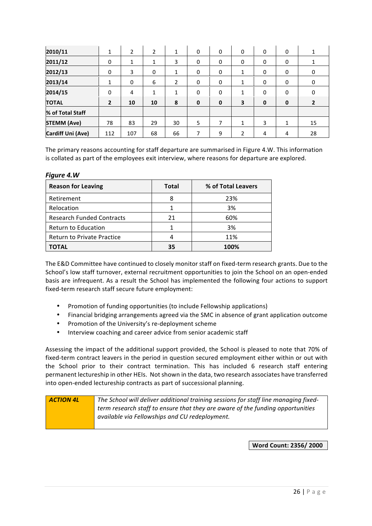| 2010/11                  | 1<br>Ŧ         | 2            | 2  | 1            | 0 | 0           | 0              | 0           | 0            |                |
|--------------------------|----------------|--------------|----|--------------|---|-------------|----------------|-------------|--------------|----------------|
| 2011/12                  | 0              | 1            | 1  | 3            | 0 | 0           | 0              | 0           | 0            |                |
| 2012/13                  | 0              | 3            | 0  | 1            | 0 | 0           | 1              | 0           | 0            | 0              |
| 2013/14                  | 1              | $\mathbf{0}$ | 6  | 2            | 0 | 0           | $\mathbf{1}$   | $\mathbf 0$ | 0            | 0              |
| 2014/15                  | 0              | 4            | 1  | $\mathbf{1}$ | 0 | 0           | $\mathbf{1}$   | $\mathbf 0$ | 0            | 0              |
| <b>TOTAL</b>             | $\overline{2}$ | 10           | 10 | 8            | 0 | $\mathbf 0$ | 3              | $\mathbf 0$ | $\mathbf 0$  | $\overline{2}$ |
| % of Total Staff         |                |              |    |              |   |             |                |             |              |                |
| <b>STEMM (Ave)</b>       | 78             | 83           | 29 | 30           | 5 | 7           | $\mathbf{1}$   | 3           | $\mathbf{1}$ | 15             |
| <b>Cardiff Uni (Ave)</b> | 112            | 107          | 68 | 66           | 7 | 9           | $\overline{2}$ | 4           | 4            | 28             |

The primary reasons accounting for staff departure are summarised in Figure 4.W. This information is collated as part of the employees exit interview, where reasons for departure are explored.

#### *Figure 4.W*

| <b>Reason for Leaving</b>         | <b>Total</b> | % of Total Leavers |
|-----------------------------------|--------------|--------------------|
| Retirement                        | 8            | 23%                |
| Relocation                        |              | 3%                 |
| <b>Research Funded Contracts</b>  | 21           | 60%                |
| <b>Return to Education</b>        |              | 3%                 |
| <b>Return to Private Practice</b> | 4            | 11%                |
| TOTAL                             | 35           | 100%               |

The E&D Committee have continued to closely monitor staff on fixed-term research grants. Due to the School's low staff turnover, external recruitment opportunities to join the School on an open-ended basis are infrequent. As a result the School has implemented the following four actions to support fixed-term research staff secure future employment:

- Promotion of funding opportunities (to include Fellowship applications)
- Financial bridging arrangements agreed via the SMC in absence of grant application outcome
- Promotion of the University's re-deployment scheme
- Interview coaching and career advice from senior academic staff

Assessing the impact of the additional support provided, the School is pleased to note that 70% of fixed-term contract leavers in the period in question secured employment either within or out with the School prior to their contract termination. This has included 6 research staff entering permanent lectureship in other HEIs. Not shown in the data, two research associates have transferred into open-ended lectureship contracts as part of successional planning.

| <b>ACTION 4L</b> | The School will deliver additional training sessions for staff line managing fixed- |
|------------------|-------------------------------------------------------------------------------------|
|                  | term research staff to ensure that they are aware of the funding opportunities      |
|                  | available via Fellowships and CU redeployment.                                      |
|                  |                                                                                     |

**Word Count: 2356/ 2000**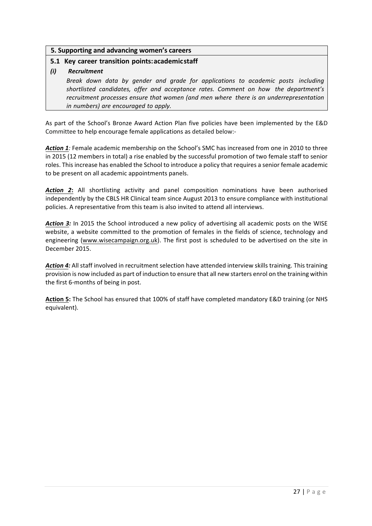#### **5. Supporting and advancing women's careers**

#### **5.1 Key career transition points:academicstaff**

#### *(i) Recruitment*

*Break down data by gender and grade for applications to academic posts including shortlisted candidates, offer and acceptance rates. Comment on how the department's recruitment processes ensure that women (and men where there is an underrepresentation in numbers) are encouraged to apply.*

As part of the School's Bronze Award Action Plan five policies have been implemented by the E&D Committee to help encourage female applications as detailed below:-

Action 1: Female academic membership on the School's SMC has increased from one in 2010 to three in 2015 (12 members in total) a rise enabled by the successful promotion of two female staff to senior roles. This increase has enabled the School to introduce a policy that requires a senior female academic to be present on all academic appointments panels.

Action 2: All shortlisting activity and panel composition nominations have been authorised independently by the CBLS HR Clinical team since August 2013 to ensure compliance with institutional policies. A representative from this team is also invited to attend all interviews.

Action 3: In 2015 the School introduced a new policy of advertising all academic posts on the WISE website, a website committed to the promotion of females in the fields of science, technology and engineering (www.wisecampaign.org.uk). The first post is scheduled to be advertised on the site in December 2015.

Action 4: All staff involved in recruitment selection have attended interview skills training. This training provision is now included as part of induction to ensure that all new starters enrol on the training within the first 6-months of being in post.

Action 5: The School has ensured that 100% of staff have completed mandatory E&D training (or NHS equivalent).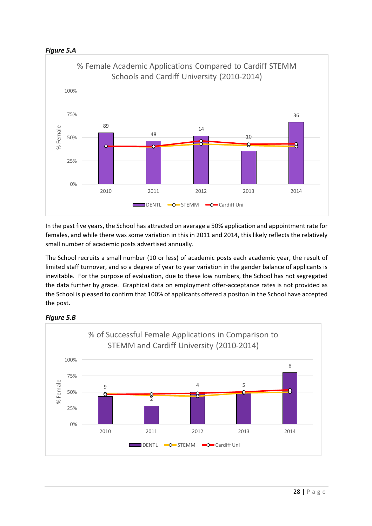



In the past five years, the School has attracted on average a 50% application and appointment rate for females, and while there was some variation in this in 2011 and 2014, this likely reflects the relatively small number of academic posts advertised annually.

The School recruits a small number (10 or less) of academic posts each academic year, the result of limited staff turnover, and so a degree of year to year variation in the gender balance of applicants is inevitable. For the purpose of evaluation, due to these low numbers, the School has not segregated the data further by grade. Graphical data on employment offer-acceptance rates is not provided as the School is pleased to confirm that 100% of applicants offered a positon in the School have accepted the post.



## **Figure 5.B**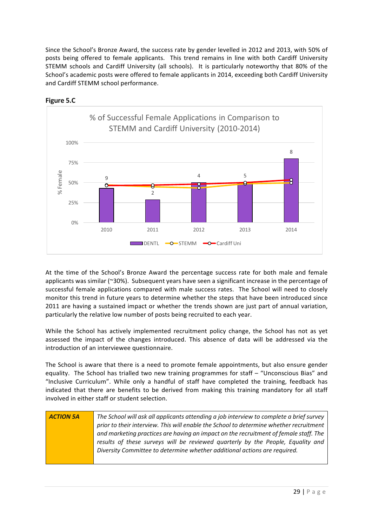Since the School's Bronze Award, the success rate by gender levelled in 2012 and 2013, with 50% of posts being offered to female applicants. This trend remains in line with both Cardiff University STEMM schools and Cardiff University (all schools). It is particularly noteworthy that 80% of the School's academic posts were offered to female applicants in 2014, exceeding both Cardiff University and Cardiff STEMM school performance.



**Figure 5.C** 

At the time of the School's Bronze Award the percentage success rate for both male and female applicants was similar (~30%). Subsequent years have seen a significant increase in the percentage of successful female applications compared with male success rates. The School will need to closely monitor this trend in future years to determine whether the steps that have been introduced since 2011 are having a sustained impact or whether the trends shown are just part of annual variation, particularly the relative low number of posts being recruited to each year.

While the School has actively implemented recruitment policy change, the School has not as yet assessed the impact of the changes introduced. This absence of data will be addressed via the introduction of an interviewee questionnaire.

The School is aware that there is a need to promote female appointments, but also ensure gender equality. The School has trialled two new training programmes for staff – "Unconscious Bias" and "Inclusive Curriculum". While only a handful of staff have completed the training, feedback has indicated that there are benefits to be derived from making this training mandatory for all staff involved in either staff or student selection.

| <b>ACTION 5A</b> | The School will ask all applicants attending a job interview to complete a brief survey |
|------------------|-----------------------------------------------------------------------------------------|
|                  | prior to their interview. This will enable the School to determine whether recruitment  |
|                  | and marketing practices are having an impact on the recruitment of female staff. The    |
|                  | results of these surveys will be reviewed quarterly by the People, Equality and         |
|                  | Diversity Committee to determine whether additional actions are required.               |
|                  |                                                                                         |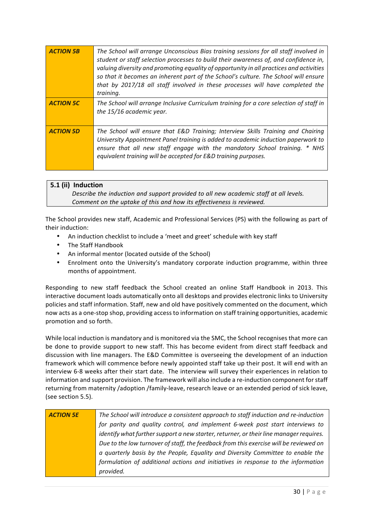| <b>ACTION 5B</b> | The School will arrange Unconscious Bias training sessions for all staff involved in<br>student or staff selection processes to build their awareness of, and confidence in,<br>valuing diversity and promoting equality of opportunity in all practices and activities<br>so that it becomes an inherent part of the School's culture. The School will ensure<br>that by 2017/18 all staff involved in these processes will have completed the<br>training. |
|------------------|--------------------------------------------------------------------------------------------------------------------------------------------------------------------------------------------------------------------------------------------------------------------------------------------------------------------------------------------------------------------------------------------------------------------------------------------------------------|
| <b>ACTION 5C</b> | The School will arrange Inclusive Curriculum training for a core selection of staff in<br>the 15/16 academic year.                                                                                                                                                                                                                                                                                                                                           |
| <b>ACTION 5D</b> | The School will ensure that E&D Training; Interview Skills Training and Chairing<br>University Appointment Panel training is added to academic induction paperwork to<br>ensure that all new staff engage with the mandatory School training. * NHS<br>equivalent training will be accepted for E&D training purposes.                                                                                                                                       |

## **5.1** (ii) Induction

*Describe the induction and support provided to all new academic staff at all levels. Comment on the uptake of this and how its effectiveness is reviewed.*

The School provides new staff, Academic and Professional Services (PS) with the following as part of their induction:

- An induction checklist to include a 'meet and greet' schedule with key staff
- The Staff Handbook
- An informal mentor (located outside of the School)
- Enrolment onto the University's mandatory corporate induction programme, within three months of appointment.

Responding to new staff feedback the School created an online Staff Handbook in 2013. This interactive document loads automatically onto all desktops and provides electronic links to University policies and staff information. Staff, new and old have positively commented on the document, which now acts as a one-stop shop, providing access to information on staff training opportunities, academic promotion and so forth.

While local induction is mandatory and is monitored via the SMC, the School recognises that more can be done to provide support to new staff. This has become evident from direct staff feedback and discussion with line managers. The E&D Committee is overseeing the development of an induction framework which will commence before newly appointed staff take up their post. It will end with an interview 6-8 weeks after their start date. The interview will survey their experiences in relation to information and support provision. The framework will also include a re-induction component for staff returning from maternity /adoption /family-leave, research leave or an extended period of sick leave, (see section 5.5).

| <b>ACTION 5E</b> | The School will introduce a consistent approach to staff induction and re-induction    |
|------------------|----------------------------------------------------------------------------------------|
|                  | for parity and quality control, and implement 6-week post start interviews to          |
|                  | identify what further support a new starter, returner, or their line manager requires. |
|                  | Due to the low turnover of staff, the feedback from this exercise will be reviewed on  |
|                  | a quarterly basis by the People, Equality and Diversity Committee to enable the        |
|                  | formulation of additional actions and initiatives in response to the information       |
|                  | provided.                                                                              |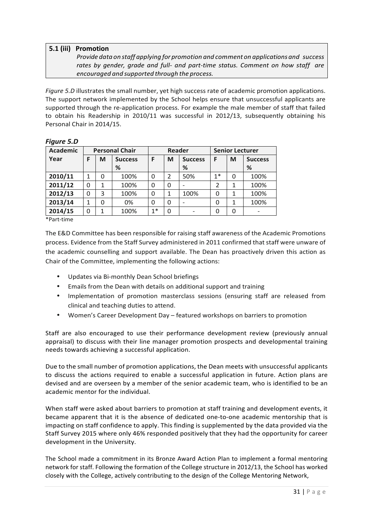## **5.1 (iii) Promotion**

*Provide data on staff applying for promotion and comment on applications and success rates by gender, grade and full- and part-time status. Comment on how staff are encouraged and supported through the process.*

*Figure* 5.D illustrates the small number, yet high success rate of academic promotion applications. The support network implemented by the School helps ensure that unsuccessful applicants are supported through the re-application process. For example the male member of staff that failed to obtain his Readership in 2010/11 was successful in 2012/13, subsequently obtaining his Personal Chair in 2014/15.

| <b>Academic</b> | <b>Personal Chair</b> |   | <b>Reader</b>  |          | <b>Senior Lecturer</b> |                |      |   |                |
|-----------------|-----------------------|---|----------------|----------|------------------------|----------------|------|---|----------------|
| Year            | F                     | M | <b>Success</b> | F        | M                      | <b>Success</b> | F    | M | <b>Success</b> |
|                 |                       |   | %              |          |                        | %              |      |   | %              |
| 2010/11         | 1                     | 0 | 100%           | $\Omega$ | 2                      | 50%            | $1*$ | 0 | 100%           |
| 2011/12         | 0                     | 1 | 100%           | $\Omega$ | $\Omega$               |                | 2    |   | 100%           |
| 2012/13         | 0                     | 3 | 100%           | $\Omega$ |                        | 100%           | 0    |   | 100%           |
| 2013/14         | 1                     | 0 | 0%             | $\Omega$ | $\Omega$               |                | 0    | 1 | 100%           |
| 2014/15         | 0                     | 1 | 100%           | $1*$     | 0                      |                | 0    | Ω |                |

*Figure 5.D*

\*Part-time

The E&D Committee has been responsible for raising staff awareness of the Academic Promotions process. Evidence from the Staff Survey administered in 2011 confirmed that staff were unware of the academic counselling and support available. The Dean has proactively driven this action as Chair of the Committee, implementing the following actions:

- Updates via Bi-monthly Dean School briefings
- Emails from the Dean with details on additional support and training
- Implementation of promotion masterclass sessions (ensuring staff are released from clinical and teaching duties to attend.
- Women's Career Development Day featured workshops on barriers to promotion

Staff are also encouraged to use their performance development review (previously annual appraisal) to discuss with their line manager promotion prospects and developmental training needs towards achieving a successful application.

Due to the small number of promotion applications, the Dean meets with unsuccessful applicants to discuss the actions required to enable a successful application in future. Action plans are devised and are overseen by a member of the senior academic team, who is identified to be an academic mentor for the individual.

When staff were asked about barriers to promotion at staff training and development events, it became apparent that it is the absence of dedicated one-to-one academic mentorship that is impacting on staff confidence to apply. This finding is supplemented by the data provided via the Staff Survey 2015 where only 46% responded positively that they had the opportunity for career development in the University.

The School made a commitment in its Bronze Award Action Plan to implement a formal mentoring network for staff. Following the formation of the College structure in 2012/13, the School has worked closely with the College, actively contributing to the design of the College Mentoring Network,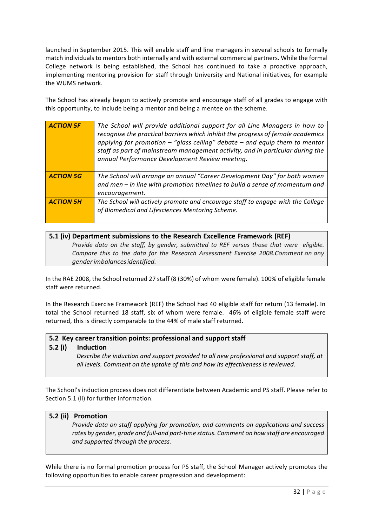launched in September 2015. This will enable staff and line managers in several schools to formally match individuals to mentors both internally and with external commercial partners. While the formal College network is being established, the School has continued to take a proactive approach, implementing mentoring provision for staff through University and National initiatives, for example the WUMS network.

The School has already begun to actively promote and encourage staff of all grades to engage with this opportunity, to include being a mentor and being a mentee on the scheme.

| <b>ACTION 5F</b> | The School will provide additional support for all Line Managers in how to<br>recognise the practical barriers which inhibit the progress of female academics<br>applying for promotion $-$ "glass ceiling" debate $-$ and equip them to mentor<br>staff as part of mainstream management activity, and in particular during the<br>annual Performance Development Review meeting. |
|------------------|------------------------------------------------------------------------------------------------------------------------------------------------------------------------------------------------------------------------------------------------------------------------------------------------------------------------------------------------------------------------------------|
| <b>ACTION 5G</b> | The School will arrange an annual "Career Development Day" for both women<br>and men - in line with promotion timelines to build a sense of momentum and                                                                                                                                                                                                                           |
|                  | encouragement.                                                                                                                                                                                                                                                                                                                                                                     |
| <b>ACTION 5H</b> | The School will actively promote and encourage staff to engage with the College                                                                                                                                                                                                                                                                                                    |
|                  | of Biomedical and Lifesciences Mentoring Scheme.                                                                                                                                                                                                                                                                                                                                   |

#### **5.1 (iv) Department submissions to the Research Excellence Framework (REF)** *Provide data on the staff, by gender, submitted to REF versus those that were eligible. Compare this to the data for the Research Assessment Exercise 2008.Comment on any genderimbalancesidentified.*

In the RAE 2008, the School returned 27 staff (8 (30%) of whom were female). 100% of eligible female staff were returned.

In the Research Exercise Framework (REF) the School had 40 eligible staff for return (13 female). In total the School returned 18 staff, six of whom were female. 46% of eligible female staff were returned, this is directly comparable to the 44% of male staff returned.

#### **5.2** Key career transition points: professional and support staff

#### **5.2 (i) Induction**

Describe the induction and support provided to all new professional and support staff, at all levels. Comment on the uptake of this and how its effectiveness is reviewed.

The School's induction process does not differentiate between Academic and PS staff. Please refer to Section 5.1 (ii) for further information.

#### **5.2 (ii) Promotion**

*Provide data on staff applying for promotion, and comments on applications and success* rates by gender, grade and full-and part-time status. Comment on how staff are encouraged *and supported through the process.*

While there is no formal promotion process for PS staff, the School Manager actively promotes the following opportunities to enable career progression and development: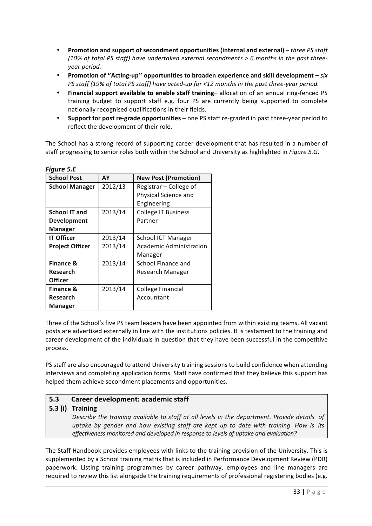- Promotion and support of secondment opportunities (internal and external) *three PS* staff (10% of total PS staff) have undertaken external secondments > 6 months in the past three*year period.*
- **Promotion of "Acting-up" opportunities to broaden experience and skill development** *six PS* staff (19% of total PS staff) have acted-up for <12 months in the past three-year period.
- Financial support available to enable staff training-allocation of an annual ring-fenced PS training budget to support staff e.g. four PS are currently being supported to complete nationally recognised qualifications in their fields.
- **Support for post re-grade opportunities** one PS staff re-graded in past three-year period to reflect the development of their role.

The School has a strong record of supporting career development that has resulted in a number of staff progressing to senior roles both within the School and University as highlighted in *Figure 5.G.* 

| <b>School Post</b>     | AY      | <b>New Post (Promotion)</b> |
|------------------------|---------|-----------------------------|
| <b>School Manager</b>  | 2012/13 | Registrar - College of      |
|                        |         | Physical Science and        |
|                        |         | Engineering                 |
| <b>School IT and</b>   | 2013/14 | <b>College IT Business</b>  |
| <b>Development</b>     |         | Partner                     |
| Manager                |         |                             |
| <b>IT Officer</b>      | 2013/14 | <b>School ICT Manager</b>   |
| <b>Project Officer</b> | 2013/14 | Academic Administration     |
|                        |         | Manager                     |
| <b>Finance &amp;</b>   | 2013/14 | School Finance and          |
| <b>Research</b>        |         | Research Manager            |
| <b>Officer</b>         |         |                             |
| <b>Finance &amp;</b>   | 2013/14 | College Financial           |
| <b>Research</b>        |         | Accountant                  |
| Manager                |         |                             |

*Figure 5.E*

Three of the School's five PS team leaders have been appointed from within existing teams. All vacant posts are advertised externally in line with the institutions policies. It is testament to the training and career development of the individuals in question that they have been successful in the competitive process.

PS staff are also encouraged to attend University training sessions to build confidence when attending interviews and completing application forms. Staff have confirmed that they believe this support has helped them achieve secondment placements and opportunities.

## **5.3 Career development: academic staff**

#### **5.3 (i) Training**

*Describe the training available to staff at all levels in the department. Provide details of uptake by gender and how existing staff are kept up to date with training. How is its effectiveness monitored and developed in response to levels of uptake and evaluation?*

The Staff Handbook provides employees with links to the training provision of the University. This is supplemented by a School training matrix that is included in Performance Development Review (PDR) paperwork. Listing training programmes by career pathway, employees and line managers are required to review this list alongside the training requirements of professional registering bodies (e.g.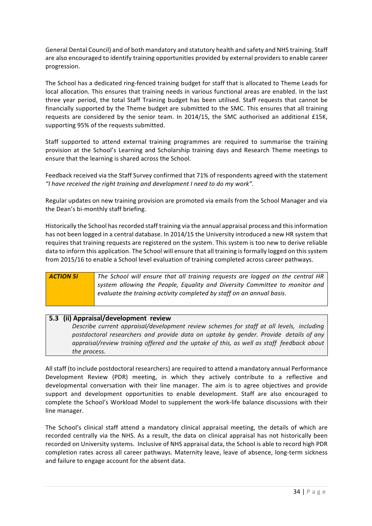General Dental Council) and of both mandatory and statutory health and safety and NHS training. Staff are also encouraged to identify training opportunities provided by external providers to enable career progression. 

The School has a dedicated ring-fenced training budget for staff that is allocated to Theme Leads for local allocation. This ensures that training needs in various functional areas are enabled. In the last three year period, the total Staff Training budget has been utilised. Staff requests that cannot be financially supported by the Theme budget are submitted to the SMC. This ensures that all training requests are considered by the senior team. In 2014/15, the SMC authorised an additional £15K, supporting 95% of the requests submitted.

Staff supported to attend external training programmes are required to summarise the training provision at the School's Learning and Scholarship training days and Research Theme meetings to ensure that the learning is shared across the School.

Feedback received via the Staff Survey confirmed that 71% of respondents agreed with the statement *"I have received the right training and development I need to do my work".* 

Regular updates on new training provision are promoted via emails from the School Manager and via the Dean's bi-monthly staff briefing.

Historically the School has recorded staff training via the annual appraisal process and this information has not been logged in a central database. In 2014/15 the University introduced a new HR system that requires that training requests are registered on the system. This system is too new to derive reliable data to inform this application. The School will ensure that all training is formally logged on this system from 2015/16 to enable a School level evaluation of training completed across career pathways.

| <b>ACTION 51</b> | The School will ensure that all training requests are logged on the central HR |
|------------------|--------------------------------------------------------------------------------|
|                  | system allowing the People, Equality and Diversity Committee to monitor and    |
|                  | evaluate the training activity completed by staff on an annual basis.          |

#### **5.3 (ii) Appraisal/development review**

*Describe current appraisal/development review schemes for staff at all levels, including postdoctoral researchers and provide data on uptake by gender. Provide details of any appraisal/review training offered and the uptake of this, as well as staff feedback about the process.*

All staff (to include postdoctoral researchers) are required to attend a mandatory annual Performance Development Review (PDR) meeting, in which they actively contribute to a reflective and developmental conversation with their line manager. The aim is to agree objectives and provide support and development opportunities to enable development. Staff are also encouraged to complete the School's Workload Model to supplement the work-life balance discussions with their line manager.

The School's clinical staff attend a mandatory clinical appraisal meeting, the details of which are recorded centrally via the NHS. As a result, the data on clinical appraisal has not historically been recorded on University systems. Inclusive of NHS appraisal data, the School is able to record high PDR completion rates across all career pathways. Maternity leave, leave of absence, long-term sickness and failure to engage account for the absent data.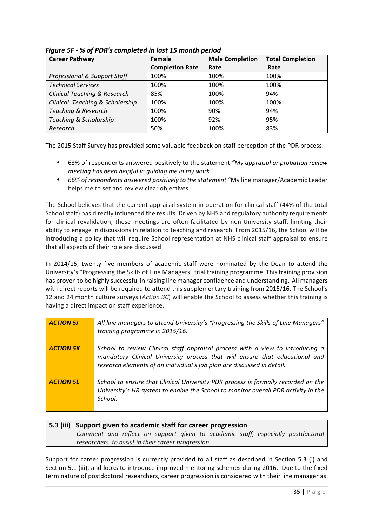| <b>Career Pathway</b>                   | <b>Female</b>          | <b>Male Completion</b> | <b>Total Completion</b> |
|-----------------------------------------|------------------------|------------------------|-------------------------|
|                                         | <b>Completion Rate</b> | Rate                   | Rate                    |
| <b>Professional &amp; Support Staff</b> | 100%                   | 100%                   | 100%                    |
| <b>Technical Services</b>               | 100%                   | 100%                   | 100%                    |
| <b>Clinical Teaching &amp; Research</b> | 85%                    | 100%                   | 94%                     |
| Clinical Teaching & Scholarship         | 100%                   | 100%                   | 100%                    |
| <b>Teaching &amp; Research</b>          | 100%                   | 90%                    | 94%                     |
| Teaching & Scholarship                  | 100%                   | 92%                    | 95%                     |
| Research                                | 50%                    | 100%                   | 83%                     |

*Figure 5F - % of PDR's completed in last 15 month period*

The 2015 Staff Survey has provided some valuable feedback on staff perception of the PDR process:

- 63% of respondents answered positively to the statement *"My appraisal or probation review meeting has been helpful in guiding me in my work".*
- 66% of respondents answered positively to the statement "My line manager/Academic Leader helps me to set and review clear objectives.

The School believes that the current appraisal system in operation for clinical staff (44% of the total School staff) has directly influenced the results. Driven by NHS and regulatory authority requirements for clinical revalidation, these meetings are often facilitated by non-University staff, limiting their ability to engage in discussions in relation to teaching and research. From 2015/16, the School will be introducing a policy that will require School representation at NHS clinical staff appraisal to ensure that all aspects of their role are discussed.

In 2014/15, twenty five members of academic staff were nominated by the Dean to attend the University's "Progressing the Skills of Line Managers" trial training programme. This training provision has proven to be highly successful in raising line manager confidence and understanding. All managers with direct reports will be required to attend this supplementary training from 2015/16. The School's 12 and 24 month culture surveys (*Action 3C*) will enable the School to assess whether this training is having a direct impact on staff experience.

| <b>ACTION 5J</b> | All line managers to attend University's "Progressing the Skills of Line Managers"<br>training programme in 2015/16.                                                                                                                    |
|------------------|-----------------------------------------------------------------------------------------------------------------------------------------------------------------------------------------------------------------------------------------|
| <b>ACTION 5K</b> | School to review Clinical staff appraisal process with a view to introducing a<br>mandatory Clinical University process that will ensure that educational and<br>research elements of an individual's job plan are discussed in detail. |
| <b>ACTION 5L</b> | School to ensure that Clinical University PDR process is formally recorded on the<br>University's HR system to enable the School to monitor overall PDR activity in the<br>School.                                                      |

## **5.3 (iii) Support given to academic staff for career progression** *Comment and reflect on support given to academic staff, especially postdoctoral researchers, to assist in their career progression.*

Support for career progression is currently provided to all staff as described in Section 5.3 (i) and Section 5.1 (iii), and looks to introduce improved mentoring schemes during 2016. Due to the fixed term nature of postdoctoral researchers, career progression is considered with their line manager as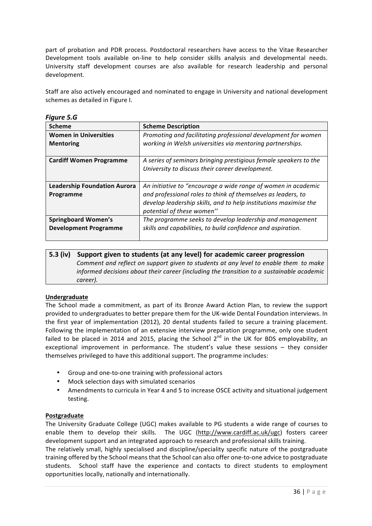part of probation and PDR process. Postdoctoral researchers have access to the Vitae Researcher Development tools available on-line to help consider skills analysis and developmental needs. University staff development courses are also available for research leadership and personal development. 

Staff are also actively encouraged and nominated to engage in University and national development schemes as detailed in Figure I.

| <b>Scheme</b>                       | <b>Scheme Description</b>                                        |
|-------------------------------------|------------------------------------------------------------------|
| <b>Women in Universities</b>        | Promoting and facilitating professional development for women    |
| <b>Mentoring</b>                    | working in Welsh universities via mentoring partnerships.        |
|                                     |                                                                  |
| <b>Cardiff Women Programme</b>      | A series of seminars bringing prestigious female speakers to the |
|                                     | University to discuss their career development.                  |
|                                     |                                                                  |
| <b>Leadership Foundation Aurora</b> | An initiative to "encourage a wide range of women in academic    |
| Programme                           | and professional roles to think of themselves as leaders, to     |
|                                     | develop leadership skills, and to help institutions maximise the |
|                                     | potential of these women"                                        |
| <b>Springboard Women's</b>          | The programme seeks to develop leadership and management         |
| <b>Development Programme</b>        | skills and capabilities, to build confidence and aspiration.     |
|                                     |                                                                  |

## *Figure 5.G*

#### **5.3 (iv) Support given to students (at any level) for academic career progression** *Comment and reflect on support given to students at any level to enable them to make informed decisions about their career (including the transition to a sustainable academic career).*

#### **Undergraduate**

The School made a commitment, as part of its Bronze Award Action Plan, to review the support provided to undergraduates to better prepare them for the UK-wide Dental Foundation interviews. In the first year of implementation (2012), 20 dental students failed to secure a training placement. Following the implementation of an extensive interview preparation programme, only one student failed to be placed in 2014 and 2015, placing the School  $2<sup>nd</sup>$  in the UK for BDS employability, an exceptional improvement in performance. The student's value these sessions  $-$  they consider themselves privileged to have this additional support. The programme includes:

- Group and one-to-one training with professional actors
- Mock selection days with simulated scenarios
- Amendments to curricula in Year 4 and 5 to increase OSCE activity and situational judgement testing.

#### **Postgraduate**

The University Graduate College (UGC) makes available to PG students a wide range of courses to enable them to develop their skills. The UGC (http://www.cardiff.ac.uk/ugc) fosters career development support and an integrated approach to research and professional skills training.

The relatively small, highly specialised and discipline/speciality specific nature of the postgraduate training offered by the School means that the School can also offer one-to-one advice to postgraduate students. School staff have the experience and contacts to direct students to employment opportunities locally, nationally and internationally.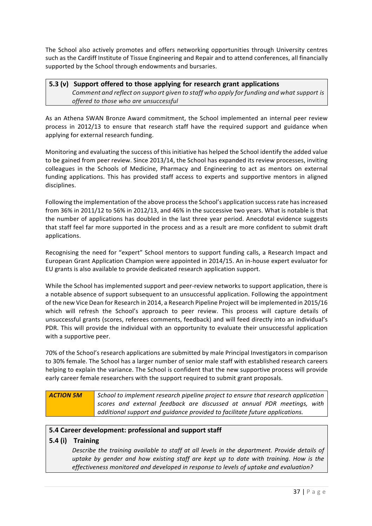The School also actively promotes and offers networking opportunities through University centres such as the Cardiff Institute of Tissue Engineering and Repair and to attend conferences, all financially supported by the School through endowments and bursaries.

## **5.3 (v) Support offered to those applying for research grant applications** *Comment and reflect on support given to staff who apply forfunding and what support is offered to those who are unsuccessful*

As an Athena SWAN Bronze Award commitment, the School implemented an internal peer review process in 2012/13 to ensure that research staff have the required support and guidance when applying for external research funding.

Monitoring and evaluating the success of this initiative has helped the School identify the added value to be gained from peer review. Since 2013/14, the School has expanded its review processes, inviting colleagues in the Schools of Medicine, Pharmacy and Engineering to act as mentors on external funding applications. This has provided staff access to experts and supportive mentors in aligned disciplines. 

Following the implementation of the above process the School's application success rate has increased from 36% in 2011/12 to 56% in 2012/13, and 46% in the successive two years. What is notable is that the number of applications has doubled in the last three year period. Anecdotal evidence suggests that staff feel far more supported in the process and as a result are more confident to submit draft applications.

Recognising the need for "expert" School mentors to support funding calls, a Research Impact and European Grant Application Champion were appointed in 2014/15. An in-house expert evaluator for EU grants is also available to provide dedicated research application support.

While the School has implemented support and peer-review networks to support application, there is a notable absence of support subsequent to an unsuccessful application. Following the appointment of the new Vice Dean for Research in 2014, a Research Pipeline Project will be implemented in 2015/16 which will refresh the School's approach to peer review. This process will capture details of unsuccessful grants (scores, referees comments, feedback) and will feed directly into an individual's PDR. This will provide the individual with an opportunity to evaluate their unsuccessful application with a supportive peer.

70% of the School's research applications are submitted by male Principal Investigators in comparison to 30% female. The School has a larger number of senior male staff with established research careers helping to explain the variance. The School is confident that the new supportive process will provide early career female researchers with the support required to submit grant proposals.

| <b>ACTION 5M</b> | School to implement research pipeline project to ensure that research application |
|------------------|-----------------------------------------------------------------------------------|
|                  | scores and external feedback are discussed at annual PDR meetings, with           |
|                  | additional support and quidance provided to facilitate future applications.       |

## **5.4 Career development: professional and support staff**

## **5.4 (i) Training**

Describe the training available to staff at all levels in the department. Provide details of *uptake by gender and how existing staff are kept up to date with training. How is the effectiveness monitored and developed in response to levels of uptake and evaluation?*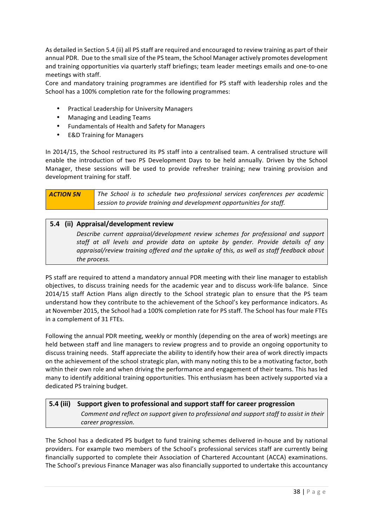As detailed in Section 5.4 (ii) all PS staff are required and encouraged to review training as part of their annual PDR. Due to the small size of the PS team, the School Manager actively promotes development and training opportunities via quarterly staff briefings; team leader meetings emails and one-to-one meetings with staff.

Core and mandatory training programmes are identified for PS staff with leadership roles and the School has a 100% completion rate for the following programmes:

- Practical Leadership for University Managers
- Managing and Leading Teams
- Fundamentals of Health and Safety for Managers
- E&D Training for Managers

In 2014/15, the School restructured its PS staff into a centralised team. A centralised structure will enable the introduction of two PS Development Days to be held annually. Driven by the School Manager, these sessions will be used to provide refresher training; new training provision and development training for staff.

| <b>ACTION 5N</b> | The School is to schedule two professional services conferences per academic |
|------------------|------------------------------------------------------------------------------|
|                  | session to provide training and development opportunities for staff.         |

#### **5.4 (ii) Appraisal/development review**

Describe current appraisal/development review schemes for professional and support staff at all levels and provide data on uptake by gender. Provide details of any *appraisal/review training offered and the uptake of this, as well as staff feedback about* the process.

PS staff are required to attend a mandatory annual PDR meeting with their line manager to establish objectives, to discuss training needs for the academic year and to discuss work-life balance. Since 2014/15 staff Action Plans align directly to the School strategic plan to ensure that the PS team understand how they contribute to the achievement of the School's key performance indicators. As at November 2015, the School had a 100% completion rate for PS staff. The School has four male FTEs in a complement of 31 FTEs.

Following the annual PDR meeting, weekly or monthly (depending on the area of work) meetings are held between staff and line managers to review progress and to provide an ongoing opportunity to discuss training needs. Staff appreciate the ability to identify how their area of work directly impacts on the achievement of the school strategic plan, with many noting this to be a motivating factor, both within their own role and when driving the performance and engagement of their teams. This has led many to identify additional training opportunities. This enthusiasm has been actively supported via a dedicated PS training budget.

## **5.4** (iii) Support given to professional and support staff for career progression *Comment and reflect on support given to professional and support staff to assist in their career progression.*

The School has a dedicated PS budget to fund training schemes delivered in-house and by national providers. For example two members of the School's professional services staff are currently being financially supported to complete their Association of Chartered Accountant (ACCA) examinations. The School's previous Finance Manager was also financially supported to undertake this accountancy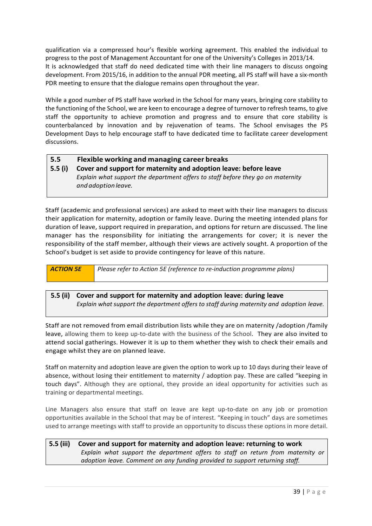qualification via a compressed hour's flexible working agreement. This enabled the individual to progress to the post of Management Accountant for one of the University's Colleges in 2013/14. It is acknowledged that staff do need dedicated time with their line managers to discuss ongoing development. From 2015/16, in addition to the annual PDR meeting, all PS staff will have a six-month PDR meeting to ensure that the dialogue remains open throughout the year.

While a good number of PS staff have worked in the School for many years, bringing core stability to the functioning of the School, we are keen to encourage a degree of turnover to refresh teams, to give staff the opportunity to achieve promotion and progress and to ensure that core stability is counterbalanced by innovation and by rejuvenation of teams. The School envisages the PS Development Days to help encourage staff to have dedicated time to facilitate career development discussions.

#### **5.5 Flexible working and managing career breaks 5.5 (i) Cover and support for maternity and adoption leave: before leave** *Explain what support the department offers to staff before they go on maternity and adoption leave.*

Staff (academic and professional services) are asked to meet with their line managers to discuss their application for maternity, adoption or family leave. During the meeting intended plans for duration of leave, support required in preparation, and options for return are discussed. The line manager has the responsibility for initiating the arrangements for cover; it is never the responsibility of the staff member, although their views are actively sought. A proportion of the School's budget is set aside to provide contingency for leave of this nature.



## **5.5 (ii) Cover and support for maternity and adoption leave: during leave** *Explain what support the department offers to staff during maternity and adoption leave.*

Staff are not removed from email distribution lists while they are on maternity /adoption /family leave, allowing them to keep up-to-date with the business of the School. They are also invited to attend social gatherings. However it is up to them whether they wish to check their emails and engage whilst they are on planned leave.

Staff on maternity and adoption leave are given the option to work up to 10 days during their leave of absence, without losing their entitlement to maternity / adoption pay. These are called "keeping in touch days". Although they are optional, they provide an ideal opportunity for activities such as training or departmental meetings.

Line Managers also ensure that staff on leave are kept up-to-date on any job or promotion opportunities available in the School that may be of interest. "Keeping in touch" days are sometimes used to arrange meetings with staff to provide an opportunity to discuss these options in more detail.

## **5.5 (iii) Cover and support for maternity and adoption leave: returning to work** *Explain what support the department offers to staff on return from maternity or adoption leave. Comment on any funding provided to support returning staff.*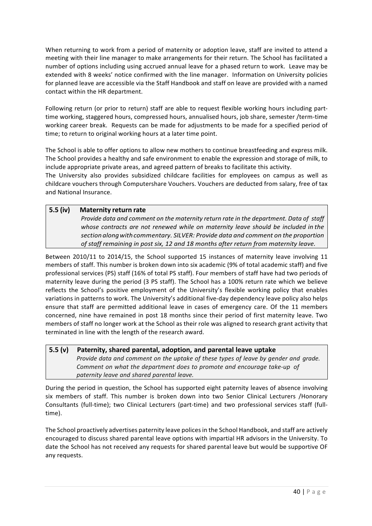When returning to work from a period of maternity or adoption leave, staff are invited to attend a meeting with their line manager to make arrangements for their return. The School has facilitated a number of options including using accrued annual leave for a phased return to work. Leave may be extended with 8 weeks' notice confirmed with the line manager. Information on University policies for planned leave are accessible via the Staff Handbook and staff on leave are provided with a named contact within the HR department.

Following return (or prior to return) staff are able to request flexible working hours including parttime working, staggered hours, compressed hours, annualised hours, job share, semester /term-time working career break. Requests can be made for adjustments to be made for a specified period of time; to return to original working hours at a later time point.

The School is able to offer options to allow new mothers to continue breastfeeding and express milk. The School provides a healthy and safe environment to enable the expression and storage of milk, to include appropriate private areas, and agreed pattern of breaks to facilitate this activity.

The University also provides subsidized childcare facilities for employees on campus as well as childcare vouchers through Computershare Vouchers. Vouchers are deducted from salary, free of tax and National Insurance.

## **5.5 (iv) Maternity return rate**

*Provide data and comment on the maternity return rate in the department. Data of staff whose contracts are not renewed while on maternity leave should be included in the sectionalongwithcommentary. SILVER: Provide data and comment on the proportion*  of staff remaining in post six, 12 and 18 months after return from maternity leave.

Between 2010/11 to 2014/15, the School supported 15 instances of maternity leave involving 11 members of staff. This number is broken down into six academic (9% of total academic staff) and five professional services (PS) staff (16% of total PS staff). Four members of staff have had two periods of maternity leave during the period (3 PS staff). The School has a 100% return rate which we believe reflects the School's positive employment of the University's flexible working policy that enables variations in patterns to work. The University's additional five-day dependency leave policy also helps ensure that staff are permitted additional leave in cases of emergency care. Of the 11 members concerned, nine have remained in post 18 months since their period of first maternity leave. Two members of staff no longer work at the School as their role was aligned to research grant activity that terminated in line with the length of the research award.

## **5.5 (v) Paternity, shared parental, adoption, and parental leave uptake** *Provide data and comment on the uptake of these types of leave by gender and grade. Comment on what the department does to promote and encourage take-up of paternity leave and shared parental leave.*

During the period in question, the School has supported eight paternity leaves of absence involving six members of staff. This number is broken down into two Senior Clinical Lecturers /Honorary Consultants (full-time); two Clinical Lecturers (part-time) and two professional services staff (fulltime).

The School proactively advertises paternity leave polices in the School Handbook, and staff are actively encouraged to discuss shared parental leave options with impartial HR advisors in the University. To date the School has not received any requests for shared parental leave but would be supportive OF any requests.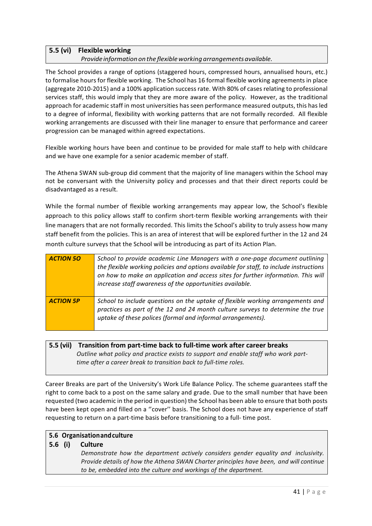## **5.5 (vi) Flexible working**

#### *Provide information on the flexibleworking arrangementsavailable.*

The School provides a range of options (staggered hours, compressed hours, annualised hours, etc.) to formalise hours for flexible working. The School has 16 formal flexible working agreements in place (aggregate 2010-2015) and a 100% application success rate. With 80% of cases relating to professional services staff, this would imply that they are more aware of the policy. However, as the traditional approach for academic staff in most universities has seen performance measured outputs, this has led to a degree of informal, flexibility with working patterns that are not formally recorded. All flexible working arrangements are discussed with their line manager to ensure that performance and career progression can be managed within agreed expectations.

Flexible working hours have been and continue to be provided for male staff to help with childcare and we have one example for a senior academic member of staff.

The Athena SWAN sub-group did comment that the majority of line managers within the School may not be conversant with the University policy and processes and that their direct reports could be disadvantaged as a result.

While the formal number of flexible working arrangements may appear low, the School's flexible approach to this policy allows staff to confirm short-term flexible working arrangements with their line managers that are not formally recorded. This limits the School's ability to truly assess how many staff benefit from the policies. This is an area of interest that will be explored further in the 12 and 24 month culture surveys that the School will be introducing as part of its Action Plan.

| <b>ACTION 50</b> | School to provide academic Line Managers with a one-page document outlining<br>the flexible working policies and options available for staff, to include instructions<br>on how to make an application and access sites for further information. This will<br>increase staff awareness of the opportunities available. |
|------------------|------------------------------------------------------------------------------------------------------------------------------------------------------------------------------------------------------------------------------------------------------------------------------------------------------------------------|
| <b>ACTION 5P</b> | School to include questions on the uptake of flexible working arrangements and<br>practices as part of the 12 and 24 month culture surveys to determine the true<br>uptake of these polices (formal and informal arrangements).                                                                                        |

## **5.5 (vii) Transition from part-time back to full-time work after career breaks** *Outline what policy and practice exists to support and enable staff who work parttime after a career break to transition back to full-time roles.*

Career Breaks are part of the University's Work Life Balance Policy. The scheme guarantees staff the right to come back to a post on the same salary and grade. Due to the small number that have been requested (two academic in the period in question) the School has been able to ensure that both posts have been kept open and filled on a "cover" basis. The School does not have any experience of staff requesting to return on a part-time basis before transitioning to a full- time post.

#### **5.6 Organisationandculture**

#### **5.6** (i) Culture

*Demonstrate how the department actively considers gender equality and inclusivity. Provide details of how the Athena SWAN Charter principles have been, and will continue to be, embedded into the culture and workings of the department.*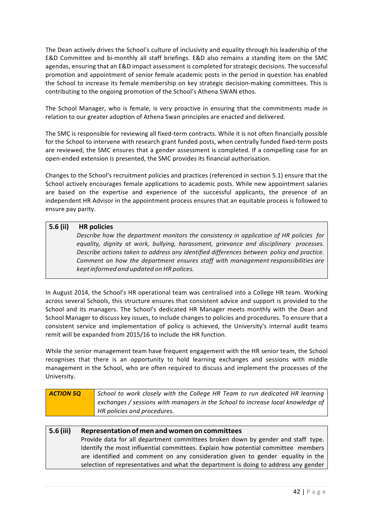The Dean actively drives the School's culture of inclusivity and equality through his leadership of the E&D Committee and bi-monthly all staff briefings. E&D also remains a standing item on the SMC agendas, ensuring that an E&D impact assessment is completed for strategic decisions. The successful promotion and appointment of senior female academic posts in the period in question has enabled the School to increase its female membership on key strategic decision-making committees. This is contributing to the ongoing promotion of the School's Athena SWAN ethos.

The School Manager, who is female, is very proactive in ensuring that the commitments made in relation to our greater adoption of Athena Swan principles are enacted and delivered.

The SMC is responsible for reviewing all fixed-term contracts. While it is not often financially possible for the School to intervene with research grant funded posts, when centrally funded fixed-term posts are reviewed, the SMC ensures that a gender assessment is completed. If a compelling case for an open-ended extension is presented, the SMC provides its financial authorisation.

Changes to the School's recruitment policies and practices (referenced in section 5.1) ensure that the School actively encourages female applications to academic posts. While new appointment salaries are based on the expertise and experience of the successful applicants, the presence of an independent HR Advisor in the appointment process ensures that an equitable process is followed to ensure pay parity.

#### **5.6 (ii) HR policies**

*Describe how the department monitors the consistency in application of HR policies for equality, dignity at work, bullying, harassment, grievance and disciplinary processes. Describe actions taken to address any identified differences between policy and practice. Comment on how the department ensures staff with management responsibilities are keptinformed and updated onHR polices.*

In August 2014, the School's HR operational team was centralised into a College HR team. Working across several Schools, this structure ensures that consistent advice and support is provided to the School and its managers. The School's dedicated HR Manager meets monthly with the Dean and School Manager to discuss key issues, to include changes to policies and procedures. To ensure that a consistent service and implementation of policy is achieved, the University's internal audit teams remit will be expanded from 2015/16 to include the HR function.

While the senior management team have frequent engagement with the HR senior team, the School recognises that there is an opportunity to hold learning exchanges and sessions with middle management in the School, who are often required to discuss and implement the processes of the University.

| <b>ACTION 5Q</b> | School to work closely with the College HR Team to run dedicated HR learning    |
|------------------|---------------------------------------------------------------------------------|
|                  | exchanges / sessions with managers in the School to increase local knowledge of |
|                  | HR policies and procedures.                                                     |

## **5.6 (iii) Representationof men andwomen on committees** Provide data for all department committees broken down by gender and staff type. Identify the most influential committees. Explain how potential committee members are identified and comment on any consideration given to gender equality in the selection of representatives and what the department is doing to address any gender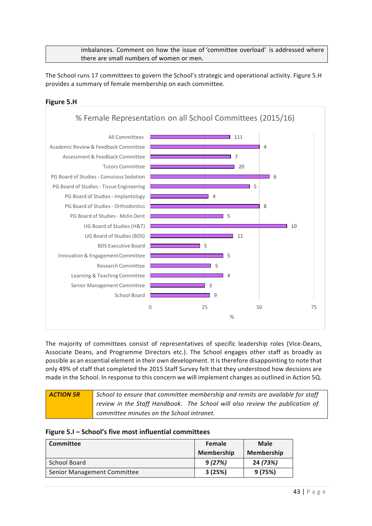imbalances. Comment on how the issue of 'committee overload' is addressed where there are small numbers of women or men.

The School runs 17 committees to govern the School's strategic and operational activity. Figure 5.H provides a summary of female membership on each committee.

#### **Figure 5.H**



The majority of committees consist of representatives of specific leadership roles (Vice-Deans, Associate Deans, and Programme Directors etc.). The School engages other staff as broadly as possible as an essential element in their own development. It is therefore disappointing to note that only 49% of staff that completed the 2015 Staff Survey felt that they understood how decisions are made in the School. In response to this concern we will implement changes as outlined in Action 5Q.

| <b>ACTION 5R</b> | School to ensure that committee membership and remits are available for staff |  |
|------------------|-------------------------------------------------------------------------------|--|
|                  | review in the Staff Handbook. The School will also review the publication of  |  |
|                  | committee minutes on the School intranet.                                     |  |

#### **Figure 5.I – School's five most influential committees**

| <b>Committee</b>            | Female            | <b>Male</b>       |
|-----------------------------|-------------------|-------------------|
|                             | <b>Membership</b> | <b>Membership</b> |
| School Board                | 9(27%)            | 24 (73%)          |
| Senior Management Committee | 3(25%)            | 9(75%)            |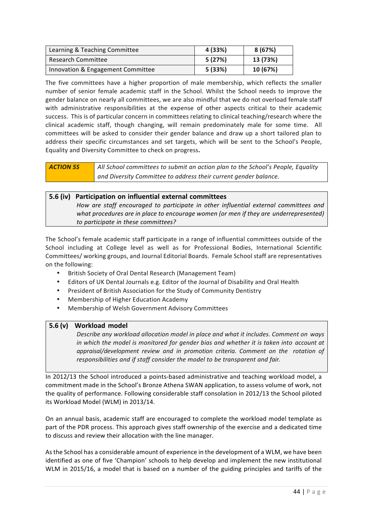| Learning & Teaching Committee     | 4 (33%) | 8(67%)   |
|-----------------------------------|---------|----------|
| <b>Research Committee</b>         | 5 (27%) | 13 (73%) |
| Innovation & Engagement Committee | 5 (33%) | 10 (67%) |

The five committees have a higher proportion of male membership, which reflects the smaller number of senior female academic staff in the School. Whilst the School needs to improve the gender balance on nearly all committees, we are also mindful that we do not overload female staff with administrative responsibilities at the expense of other aspects critical to their academic success. This is of particular concern in committees relating to clinical teaching/research where the clinical academic staff, though changing, will remain predominately male for some time. All committees will be asked to consider their gender balance and draw up a short tailored plan to address their specific circumstances and set targets, which will be sent to the School's People, Equality and Diversity Committee to check on progress**.**

| <b>ACTION 5S</b> | All School committees to submit an action plan to the School's People, Equality |
|------------------|---------------------------------------------------------------------------------|
|                  | and Diversity Committee to address their current gender balance.                |

#### **5.6 (iv) Participation on influential external committees** *How are staff encouraged to participate in other influential external committees and what procedures are in place to encourage women (or men if they are underrepresented) to participate in these committees?*

The School's female academic staff participate in a range of influential committees outside of the School including at College level as well as for Professional Bodies, International Scientific Committees/ working groups, and Journal Editorial Boards. Female School staff are representatives on the following:

- British Society of Oral Dental Research (Management Team)
- Editors of UK Dental Journals e.g. Editor of the Journal of Disability and Oral Health
- President of British Association for the Study of Community Dentistry
- Membership of Higher Education Academy
- Membership of Welsh Government Advisory Committees

#### **5.6 (v) Workload model**

*Describe any workload allocation model in place and what it includes. Comment on ways in which the model is monitored for gender bias and whether it is taken into account at appraisal/development review and in promotion criteria. Comment on the rotation of responsibilities and if staff consider the model to be transparent and fair.*

In 2012/13 the School introduced a points-based administrative and teaching workload model, a commitment made in the School's Bronze Athena SWAN application, to assess volume of work, not the quality of performance. Following considerable staff consolation in 2012/13 the School piloted its Workload Model (WLM) in 2013/14.

On an annual basis, academic staff are encouraged to complete the workload model template as part of the PDR process. This approach gives staff ownership of the exercise and a dedicated time to discuss and review their allocation with the line manager.

As the School has a considerable amount of experience in the development of a WLM, we have been identified as one of five 'Champion' schools to help develop and implement the new institutional WLM in 2015/16, a model that is based on a number of the guiding principles and tariffs of the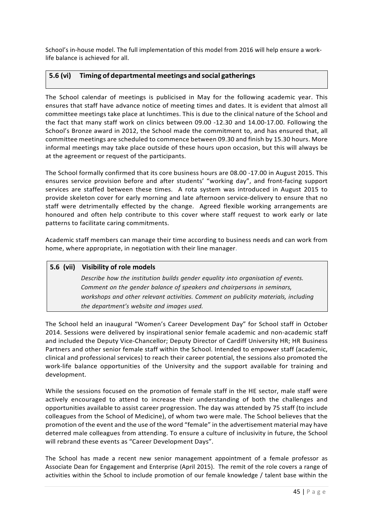School's in-house model. The full implementation of this model from 2016 will help ensure a worklife balance is achieved for all.

#### **5.6 (vi) Timing of departmental meetings and social gatherings**

The School calendar of meetings is publicised in May for the following academic year. This ensures that staff have advance notice of meeting times and dates. It is evident that almost all committee meetings take place at lunchtimes. This is due to the clinical nature of the School and the fact that many staff work on clinics between 09.00 -12.30 and 14.00-17.00. Following the School's Bronze award in 2012, the School made the commitment to, and has ensured that, all committee meetings are scheduled to commence between 09.30 and finish by 15.30 hours. More informal meetings may take place outside of these hours upon occasion, but this will always be at the agreement or request of the participants.

The School formally confirmed that its core business hours are 08.00 -17.00 in August 2015. This ensures service provision before and after students' "working day", and front-facing support services are staffed between these times. A rota system was introduced in August 2015 to provide skeleton cover for early morning and late afternoon service-delivery to ensure that no staff were detrimentally effected by the change. Agreed flexible working arrangements are honoured and often help contribute to this cover where staff request to work early or late patterns to facilitate caring commitments.

Academic staff members can manage their time according to business needs and can work from home, where appropriate, in negotiation with their line manager.

# **5.6 (vii) Visibility of role models** *Describe how the institution builds gender equality into organisation of events. Comment on the gender balance of speakers and chairpersons in seminars, workshops and other relevant activities. Comment on publicity materials, including the department's website and images used.*

The School held an inaugural "Women's Career Development Day" for School staff in October 2014. Sessions were delivered by inspirational senior female academic and non-academic staff and included the Deputy Vice-Chancellor; Deputy Director of Cardiff University HR; HR Business Partners and other senior female staff within the School. Intended to empower staff (academic, clinical and professional services) to reach their career potential, the sessions also promoted the work-life balance opportunities of the University and the support available for training and development. 

While the sessions focused on the promotion of female staff in the HE sector, male staff were actively encouraged to attend to increase their understanding of both the challenges and opportunities available to assist career progression. The day was attended by 75 staff (to include colleagues from the School of Medicine), of whom two were male. The School believes that the promotion of the event and the use of the word "female" in the advertisement material may have deterred male colleagues from attending. To ensure a culture of inclusivity in future, the School will rebrand these events as "Career Development Days".

The School has made a recent new senior management appointment of a female professor as Associate Dean for Engagement and Enterprise (April 2015). The remit of the role covers a range of activities within the School to include promotion of our female knowledge / talent base within the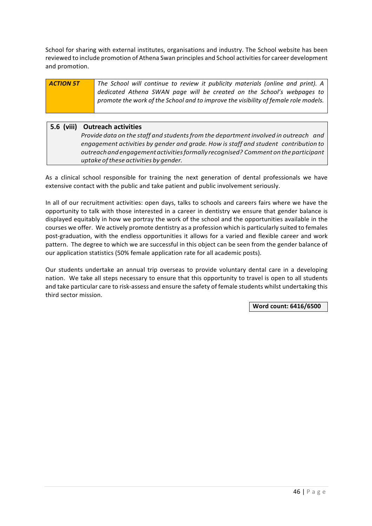School for sharing with external institutes, organisations and industry. The School website has been reviewed to include promotion of Athena Swan principles and School activities for career development and promotion.

# **ACTION 5T The School will continue to review it publicity materials (online and print).** A dedicated Athena SWAN page will be created on the School's webpages to promote the work of the School and to improve the visibility of female role models.

#### **5.6 (viii) Outreach activities**

*Provide data on the staff and studentsfrom the department involved in outreach and engagement activities by gender and grade. How is staff and student contribution to outreachandengagementactivitiesformally recognised? Commenton the participant uptake ofthese activities by gender.*

As a clinical school responsible for training the next generation of dental professionals we have extensive contact with the public and take patient and public involvement seriously.

In all of our recruitment activities: open days, talks to schools and careers fairs where we have the opportunity to talk with those interested in a career in dentistry we ensure that gender balance is displayed equitably in how we portray the work of the school and the opportunities available in the courses we offer. We actively promote dentistry as a profession which is particularly suited to females post-graduation, with the endless opportunities it allows for a varied and flexible career and work pattern. The degree to which we are successful in this object can be seen from the gender balance of our application statistics (50% female application rate for all academic posts).

Our students undertake an annual trip overseas to provide voluntary dental care in a developing nation. We take all steps necessary to ensure that this opportunity to travel is open to all students and take particular care to risk-assess and ensure the safety of female students whilst undertaking this third sector mission.

**Word count: 6416/6500**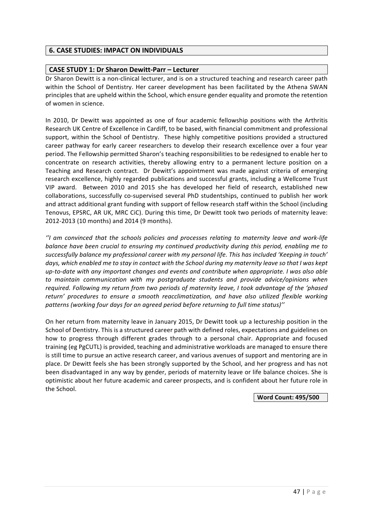## **6. CASE STUDIES: IMPACT ON INDIVIDUALS**

#### **CASE STUDY 1: Dr Sharon Dewitt-Parr – Lecturer**

Dr Sharon Dewitt is a non-clinical lecturer, and is on a structured teaching and research career path within the School of Dentistry. Her career development has been facilitated by the Athena SWAN principles that are upheld within the School, which ensure gender equality and promote the retention of women in science.

In 2010, Dr Dewitt was appointed as one of four academic fellowship positions with the Arthritis Research UK Centre of Excellence in Cardiff, to be based, with financial commitment and professional support, within the School of Dentistry. These highly competitive positions provided a structured career pathway for early career researchers to develop their research excellence over a four year period. The Fellowship permitted Sharon's teaching responsibilities to be redesigned to enable her to concentrate on research activities, thereby allowing entry to a permanent lecture position on a Teaching and Research contract. Dr Dewitt's appointment was made against criteria of emerging research excellence, highly regarded publications and successful grants, including a Wellcome Trust VIP award. Between 2010 and 2015 she has developed her field of research, established new collaborations, successfully co-supervised several PhD studentships, continued to publish her work and attract additional grant funding with support of fellow research staff within the School (including Tenovus, EPSRC, AR UK, MRC CiC). During this time, Dr Dewitt took two periods of maternity leave: 2012-2013 (10 months) and 2014 (9 months).

*''I am convinced that the schools policies and processes relating to maternity leave and work-life balance have been crucial to ensuring my continued productivity during this period, enabling me to* successfully balance my professional career with my personal life. This has included 'Keeping in touch' days, which enabled me to stay in contact with the School during my maternity leave so that *I* was kept up-to-date with any important changes and events and contribute when appropriate. I was also able to maintain communication with my postgraduate students and provide advice/opinions when *required.* Following my return from two periods of maternity leave, I took advantage of the 'phased *return' procedures to ensure a smooth reacclimatization, and have also utilized flexible working*  patterns (working four days for an agreed period before returning to full time status)"

On her return from maternity leave in January 2015, Dr Dewitt took up a lectureship position in the School of Dentistry. This is a structured career path with defined roles, expectations and guidelines on how to progress through different grades through to a personal chair. Appropriate and focused training (eg PgCUTL) is provided, teaching and administrative workloads are managed to ensure there is still time to pursue an active research career, and various avenues of support and mentoring are in place. Dr Dewitt feels she has been strongly supported by the School, and her progress and has not been disadvantaged in any way by gender, periods of maternity leave or life balance choices. She is optimistic about her future academic and career prospects, and is confident about her future role in the School.

**Word Count: 495/500**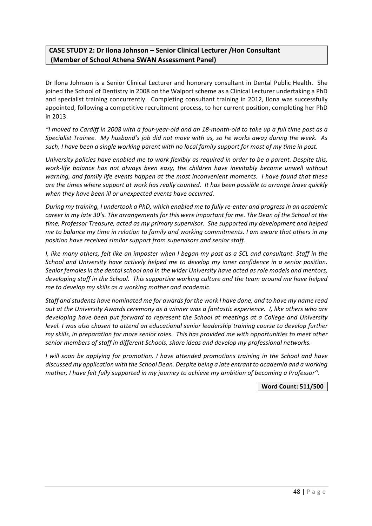## **CASE STUDY 2: Dr Ilona Johnson – Senior Clinical Lecturer /Hon Consultant (Member of School Athena SWAN Assessment Panel)**

Dr Ilona Johnson is a Senior Clinical Lecturer and honorary consultant in Dental Public Health. She joined the School of Dentistry in 2008 on the Walport scheme as a Clinical Lecturer undertaking a PhD and specialist training concurrently. Completing consultant training in 2012, Ilona was successfully appointed, following a competitive recruitment process, to her current position, completing her PhD in 2013.

*"I moved to Cardiff in 2008 with a four-year-old and an 18-month-old to take up a full time post as a Specialist Trainee.* My husband's job did not move with us, so he works away during the week. As such, I have been a single working parent with no local family support for most of my time in post.

*University policies have enabled me to work flexibly as required in order to be a parent. Despite this, work-life balance has not always been easy, the children have inevitably become unwell without* warning, and family life events happen at the most inconvenient moments. I have found that these are the times where support at work has really counted. It has been possible to arrange leave quickly when they have been ill or unexpected events have occurred.

*During* my training, I undertook a PhD, which enabled me to fully re-enter and progress in an academic *career in my late 30's. The arrangements for this were important for me. The Dean of the School at the* time, Professor Treasure, acted as my primary supervisor. She supported my development and helped *me* to balance my time in relation to family and working commitments. I am aware that others in my position have received similar support from supervisors and senior staff.

*I,* like many others, felt like an imposter when I began my post as a SCL and consultant. Staff in the *School* and University have actively helped me to develop my inner confidence in a senior position. Senior females in the dental school and in the wider University have acted as role models and mentors, *developing* staff in the School. This supportive working culture and the team around me have helped *me to develop my skills as a working mother and academic.* 

Staff and students have nominated me for awards for the work I have done, and to have my name read *out* at the University Awards ceremony as a winner was a fantastic experience. I, like others who are *developing have been put forward to represent the School at meetings at a College and University level.* I was also chosen to attend an educational senior leadership training course to develop further *my* skills, in preparation for more senior roles. This has provided me with opportunities to meet other senior members of staff in different Schools, share ideas and develop my professional networks.

*I* will soon be applying for promotion. I have attended promotions training in the School and have discussed my application with the School Dean. Despite being a late entrant to academia and a working mother, I have felt fully supported in my journey to achieve my ambition of becoming a Professor".

**Word Count: 511/500**